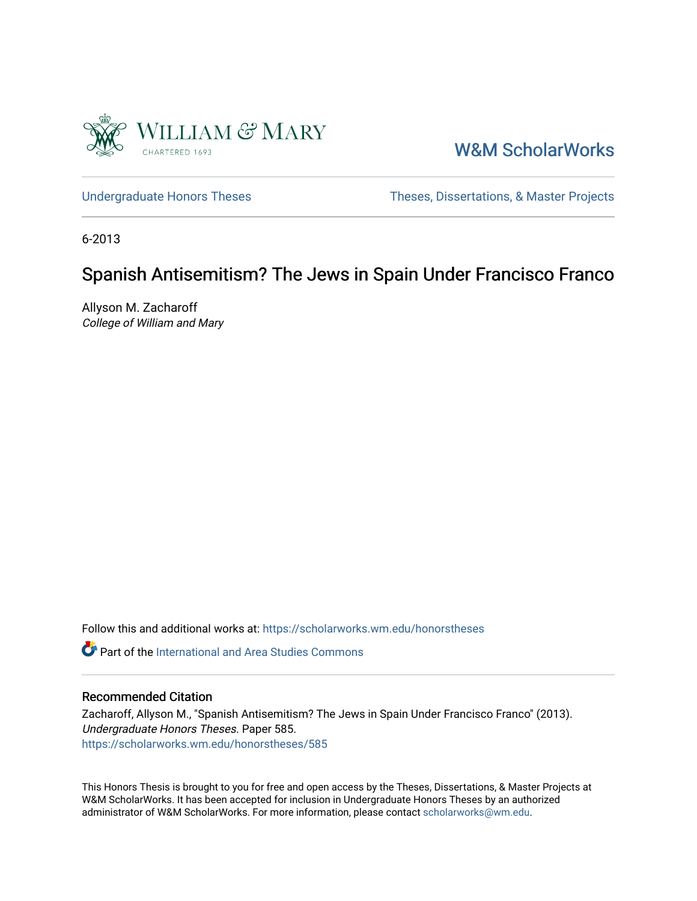

[W&M ScholarWorks](https://scholarworks.wm.edu/) 

[Undergraduate Honors Theses](https://scholarworks.wm.edu/honorstheses) Theses Theses, Dissertations, & Master Projects

6-2013

# Spanish Antisemitism? The Jews in Spain Under Francisco Franco

Allyson M. Zacharoff College of William and Mary

Follow this and additional works at: [https://scholarworks.wm.edu/honorstheses](https://scholarworks.wm.edu/honorstheses?utm_source=scholarworks.wm.edu%2Fhonorstheses%2F585&utm_medium=PDF&utm_campaign=PDFCoverPages) 

**P** Part of the International and Area Studies Commons

## Recommended Citation

Zacharoff, Allyson M., "Spanish Antisemitism? The Jews in Spain Under Francisco Franco" (2013). Undergraduate Honors Theses. Paper 585. [https://scholarworks.wm.edu/honorstheses/585](https://scholarworks.wm.edu/honorstheses/585?utm_source=scholarworks.wm.edu%2Fhonorstheses%2F585&utm_medium=PDF&utm_campaign=PDFCoverPages) 

This Honors Thesis is brought to you for free and open access by the Theses, Dissertations, & Master Projects at W&M ScholarWorks. It has been accepted for inclusion in Undergraduate Honors Theses by an authorized administrator of W&M ScholarWorks. For more information, please contact [scholarworks@wm.edu.](mailto:scholarworks@wm.edu)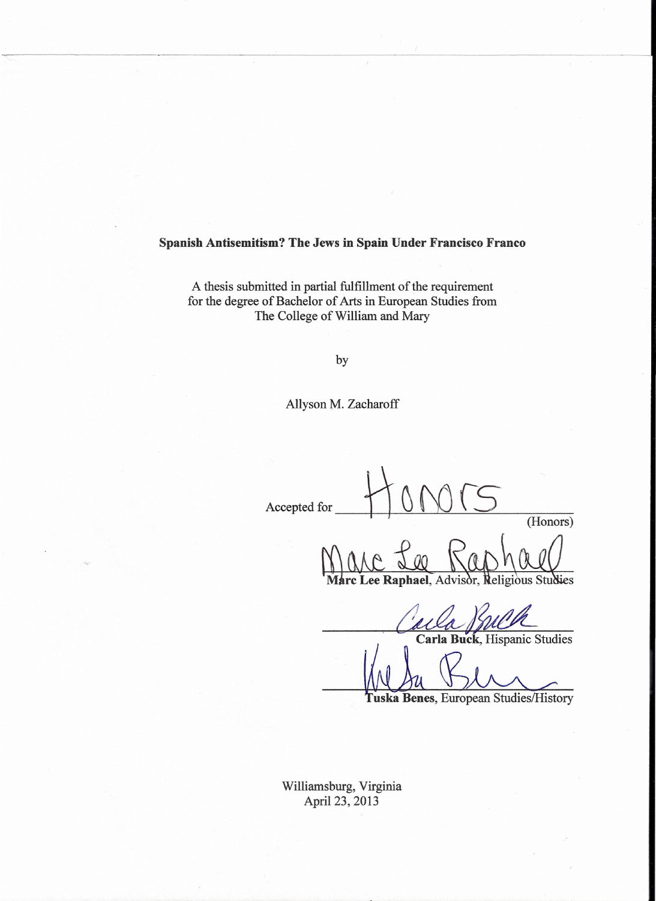**Spanish Antisemitism? The Jews in Spain Under Francisco Franco**

A thesis submitted in partial fulfillment of the requirement for the degree of Bachelor of Arts in European Studies from The College of William and Mary

by

Allyson M. Zacharoff

 $\frac{110005}{s}$ (Honors)

 $\gamma$ rc Lee Raphael, Advisor, Religious Studies

. Carla Buck, Hispanic Studies

Tuska Benes, European Studies/History

Williamsburg, Virginia April 23, 2013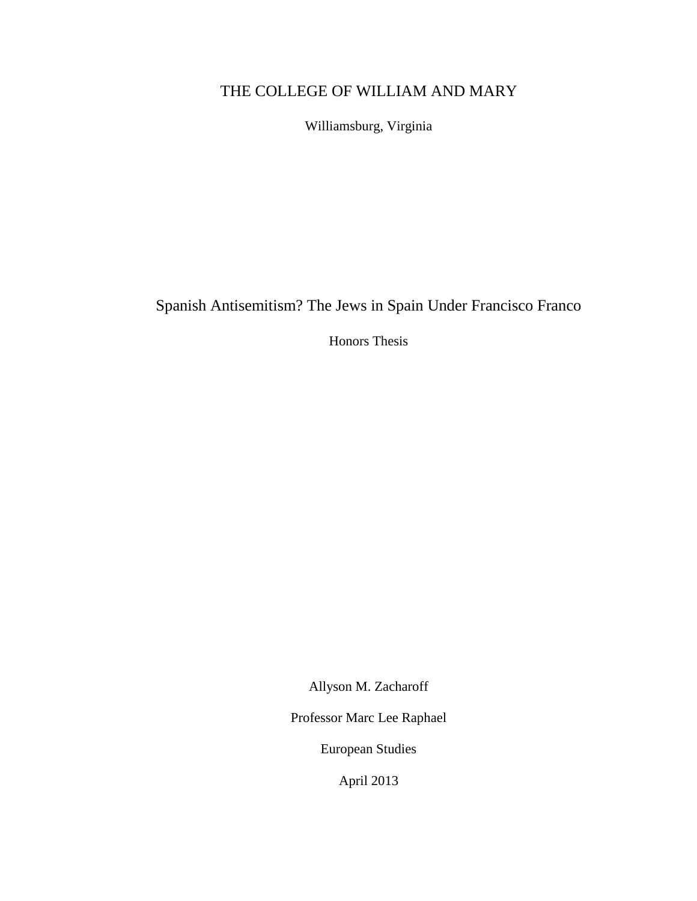# THE COLLEGE OF WILLIAM AND MARY

Williamsburg, Virginia

Spanish Antisemitism? The Jews in Spain Under Francisco Franco

Honors Thesis

Allyson M. Zacharoff

Professor Marc Lee Raphael

European Studies

April 2013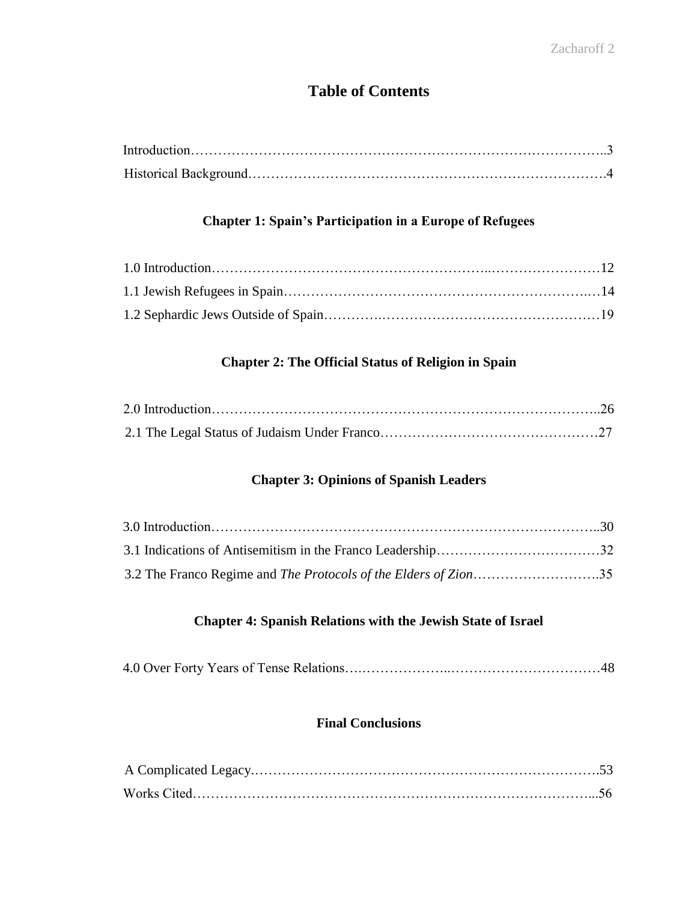# **Table of Contents**

## **Chapter 1: Spain's Participation in a Europe of Refugees**

## **Chapter 2: The Official Status of Religion in Spain**

## **Chapter 3: Opinions of Spanish Leaders**

## **Chapter 4: Spanish Relations with the Jewish State of Israel**

|--|--|

## **Final Conclusions**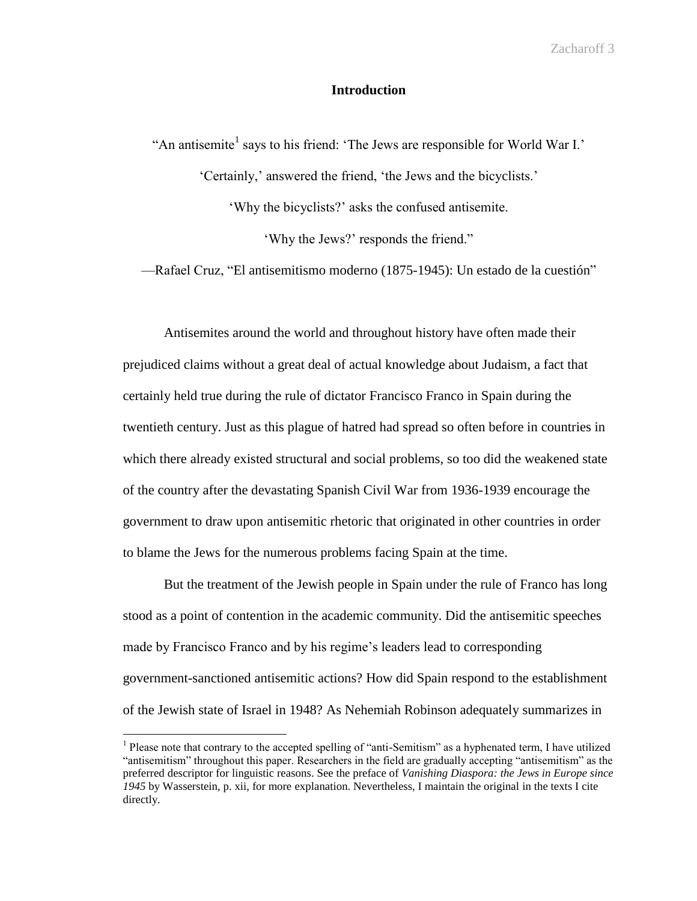## **Introduction**

"An antisemite<sup>1</sup> says to his friend: 'The Jews are responsible for World War I.' 'Certainly,' answered the friend, 'the Jews and the bicyclists.' 'Why the bicyclists?' asks the confused antisemite. 'Why the Jews?' responds the friend."

—Rafael Cruz, "El antisemitismo moderno (1875-1945): Un estado de la cuestión"

Antisemites around the world and throughout history have often made their prejudiced claims without a great deal of actual knowledge about Judaism, a fact that certainly held true during the rule of dictator Francisco Franco in Spain during the twentieth century. Just as this plague of hatred had spread so often before in countries in which there already existed structural and social problems, so too did the weakened state of the country after the devastating Spanish Civil War from 1936-1939 encourage the government to draw upon antisemitic rhetoric that originated in other countries in order to blame the Jews for the numerous problems facing Spain at the time.

But the treatment of the Jewish people in Spain under the rule of Franco has long stood as a point of contention in the academic community. Did the antisemitic speeches made by Francisco Franco and by his regime's leaders lead to corresponding government-sanctioned antisemitic actions? How did Spain respond to the establishment of the Jewish state of Israel in 1948? As Nehemiah Robinson adequately summarizes in

 $\overline{a}$ 

<sup>&</sup>lt;sup>1</sup> Please note that contrary to the accepted spelling of "anti-Semitism" as a hyphenated term, I have utilized "antisemitism" throughout this paper. Researchers in the field are gradually accepting "antisemitism" as the preferred descriptor for linguistic reasons. See the preface of *Vanishing Diaspora: the Jews in Europe since 1945* by Wasserstein, p. xii, for more explanation. Nevertheless, I maintain the original in the texts I cite directly.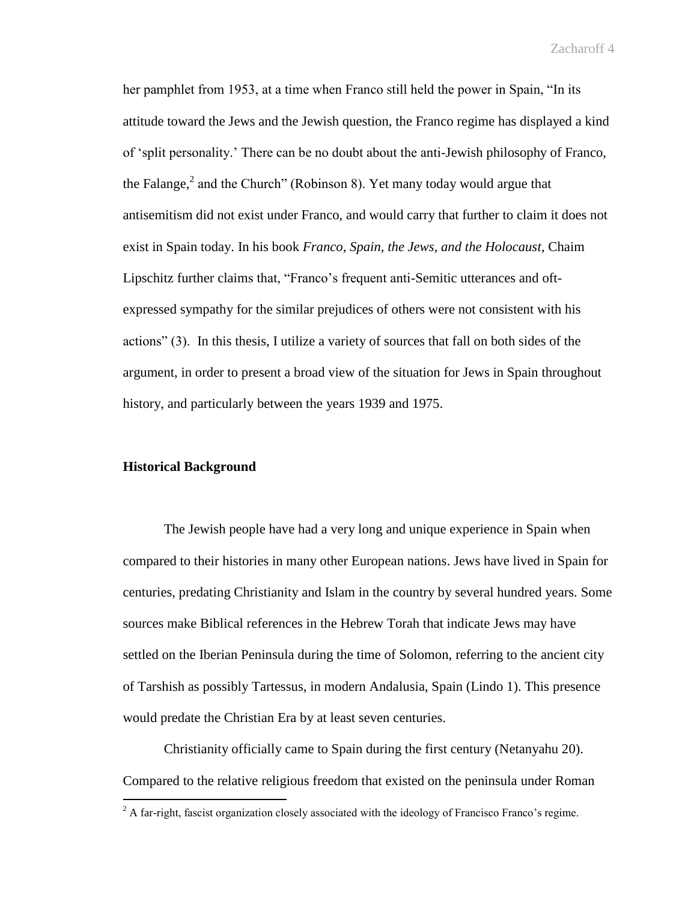her pamphlet from 1953, at a time when Franco still held the power in Spain, "In its attitude toward the Jews and the Jewish question, the Franco regime has displayed a kind of 'split personality.' There can be no doubt about the anti-Jewish philosophy of Franco, the Falange, $^2$  and the Church" (Robinson 8). Yet many today would argue that antisemitism did not exist under Franco, and would carry that further to claim it does not exist in Spain today. In his book *Franco, Spain, the Jews, and the Holocaust*, Chaim Lipschitz further claims that, "Franco's frequent anti-Semitic utterances and oftexpressed sympathy for the similar prejudices of others were not consistent with his actions" (3). In this thesis, I utilize a variety of sources that fall on both sides of the argument, in order to present a broad view of the situation for Jews in Spain throughout history, and particularly between the years 1939 and 1975.

## **Historical Background**

 $\overline{a}$ 

The Jewish people have had a very long and unique experience in Spain when compared to their histories in many other European nations. Jews have lived in Spain for centuries, predating Christianity and Islam in the country by several hundred years. Some sources make Biblical references in the Hebrew Torah that indicate Jews may have settled on the Iberian Peninsula during the time of Solomon, referring to the ancient city of Tarshish as possibly Tartessus, in modern Andalusia, Spain (Lindo 1). This presence would predate the Christian Era by at least seven centuries.

Christianity officially came to Spain during the first century (Netanyahu 20). Compared to the relative religious freedom that existed on the peninsula under Roman

 $2$  A far-right, fascist organization closely associated with the ideology of Francisco Franco's regime.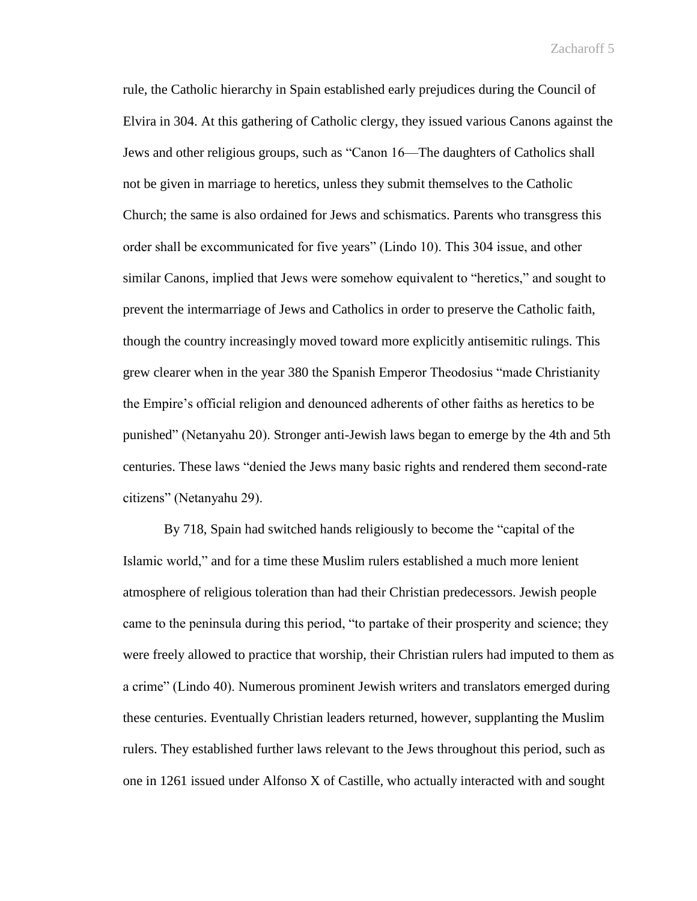rule, the Catholic hierarchy in Spain established early prejudices during the Council of Elvira in 304. At this gathering of Catholic clergy, they issued various Canons against the Jews and other religious groups, such as "Canon 16—The daughters of Catholics shall not be given in marriage to heretics, unless they submit themselves to the Catholic Church; the same is also ordained for Jews and schismatics. Parents who transgress this order shall be excommunicated for five years" (Lindo 10). This 304 issue, and other similar Canons, implied that Jews were somehow equivalent to "heretics," and sought to prevent the intermarriage of Jews and Catholics in order to preserve the Catholic faith, though the country increasingly moved toward more explicitly antisemitic rulings. This grew clearer when in the year 380 the Spanish Emperor Theodosius "made Christianity the Empire's official religion and denounced adherents of other faiths as heretics to be punished" (Netanyahu 20). Stronger anti-Jewish laws began to emerge by the 4th and 5th centuries. These laws "denied the Jews many basic rights and rendered them second-rate citizens" (Netanyahu 29).

By 718, Spain had switched hands religiously to become the "capital of the Islamic world," and for a time these Muslim rulers established a much more lenient atmosphere of religious toleration than had their Christian predecessors. Jewish people came to the peninsula during this period, "to partake of their prosperity and science; they were freely allowed to practice that worship, their Christian rulers had imputed to them as a crime" (Lindo 40). Numerous prominent Jewish writers and translators emerged during these centuries. Eventually Christian leaders returned, however, supplanting the Muslim rulers. They established further laws relevant to the Jews throughout this period, such as one in 1261 issued under Alfonso X of Castille, who actually interacted with and sought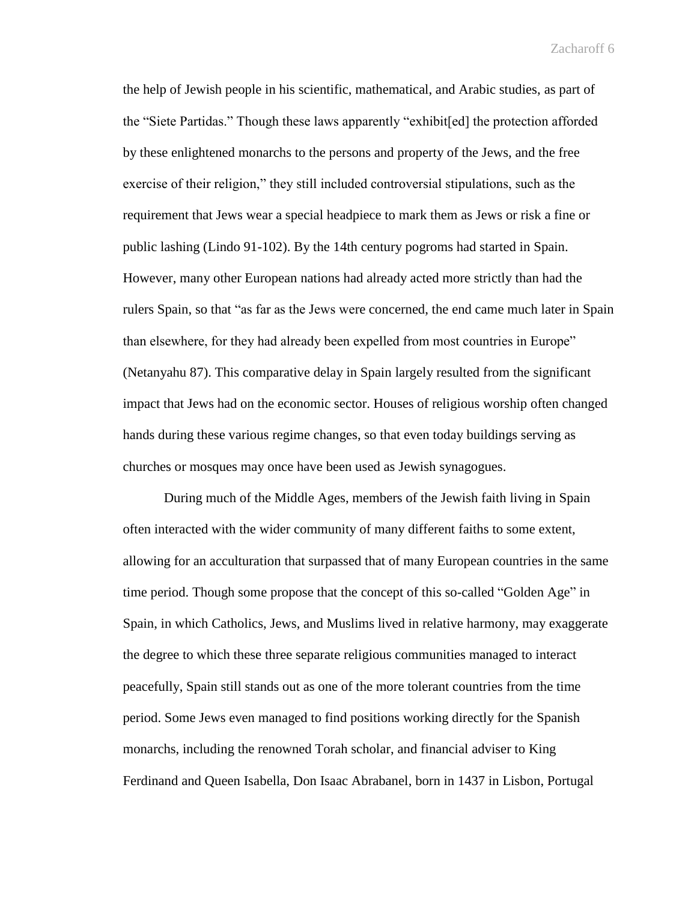the help of Jewish people in his scientific, mathematical, and Arabic studies, as part of the "Siete Partidas." Though these laws apparently "exhibit[ed] the protection afforded by these enlightened monarchs to the persons and property of the Jews, and the free exercise of their religion," they still included controversial stipulations, such as the requirement that Jews wear a special headpiece to mark them as Jews or risk a fine or public lashing (Lindo 91-102). By the 14th century pogroms had started in Spain. However, many other European nations had already acted more strictly than had the rulers Spain, so that "as far as the Jews were concerned, the end came much later in Spain than elsewhere, for they had already been expelled from most countries in Europe" (Netanyahu 87). This comparative delay in Spain largely resulted from the significant impact that Jews had on the economic sector. Houses of religious worship often changed hands during these various regime changes, so that even today buildings serving as churches or mosques may once have been used as Jewish synagogues.

During much of the Middle Ages, members of the Jewish faith living in Spain often interacted with the wider community of many different faiths to some extent, allowing for an acculturation that surpassed that of many European countries in the same time period. Though some propose that the concept of this so-called "Golden Age" in Spain, in which Catholics, Jews, and Muslims lived in relative harmony, may exaggerate the degree to which these three separate religious communities managed to interact peacefully, Spain still stands out as one of the more tolerant countries from the time period. Some Jews even managed to find positions working directly for the Spanish monarchs, including the renowned Torah scholar, and financial adviser to King Ferdinand and Queen Isabella, Don Isaac Abrabanel, born in 1437 in Lisbon, Portugal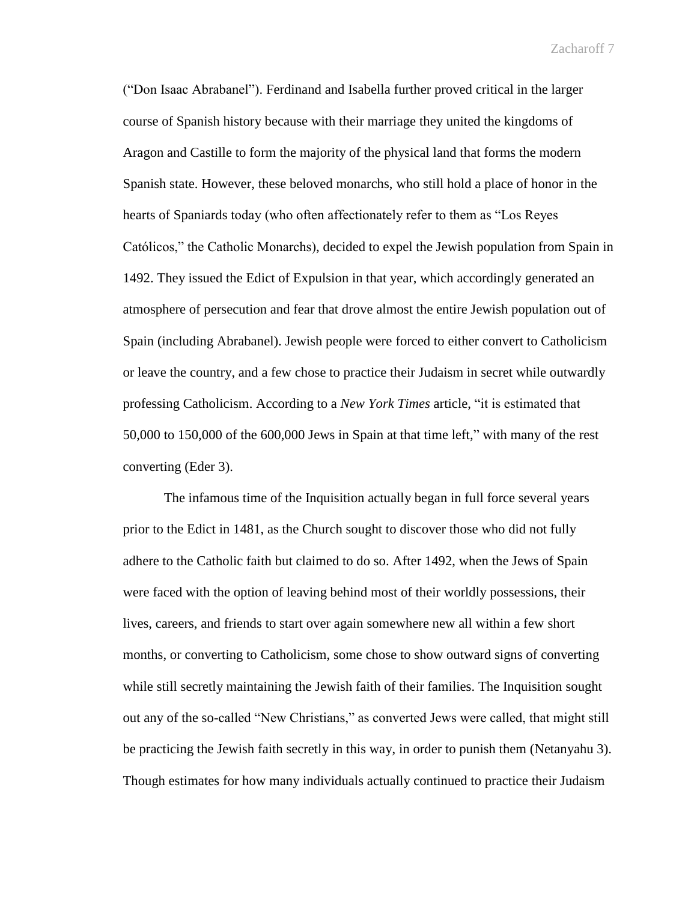("Don Isaac Abrabanel"). Ferdinand and Isabella further proved critical in the larger course of Spanish history because with their marriage they united the kingdoms of Aragon and Castille to form the majority of the physical land that forms the modern Spanish state. However, these beloved monarchs, who still hold a place of honor in the hearts of Spaniards today (who often affectionately refer to them as "Los Reyes Católicos," the Catholic Monarchs), decided to expel the Jewish population from Spain in 1492. They issued the Edict of Expulsion in that year, which accordingly generated an atmosphere of persecution and fear that drove almost the entire Jewish population out of Spain (including Abrabanel). Jewish people were forced to either convert to Catholicism or leave the country, and a few chose to practice their Judaism in secret while outwardly professing Catholicism. According to a *New York Times* article, "it is estimated that 50,000 to 150,000 of the 600,000 Jews in Spain at that time left," with many of the rest converting (Eder 3).

The infamous time of the Inquisition actually began in full force several years prior to the Edict in 1481, as the Church sought to discover those who did not fully adhere to the Catholic faith but claimed to do so. After 1492, when the Jews of Spain were faced with the option of leaving behind most of their worldly possessions, their lives, careers, and friends to start over again somewhere new all within a few short months, or converting to Catholicism, some chose to show outward signs of converting while still secretly maintaining the Jewish faith of their families. The Inquisition sought out any of the so-called "New Christians," as converted Jews were called, that might still be practicing the Jewish faith secretly in this way, in order to punish them (Netanyahu 3). Though estimates for how many individuals actually continued to practice their Judaism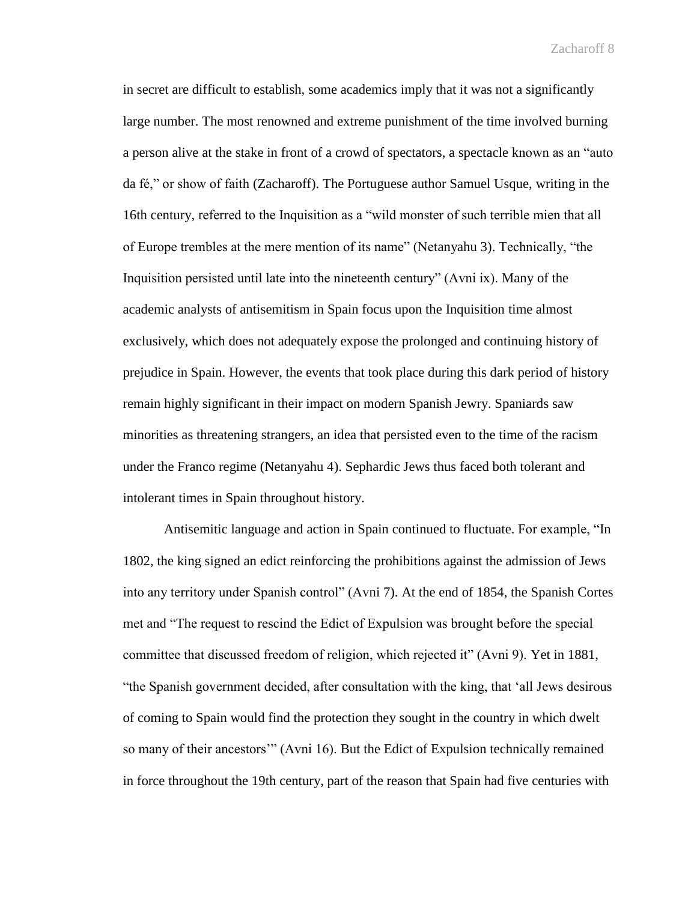in secret are difficult to establish, some academics imply that it was not a significantly large number. The most renowned and extreme punishment of the time involved burning a person alive at the stake in front of a crowd of spectators, a spectacle known as an "auto da fé," or show of faith (Zacharoff). The Portuguese author Samuel Usque, writing in the 16th century, referred to the Inquisition as a "wild monster of such terrible mien that all of Europe trembles at the mere mention of its name" (Netanyahu 3). Technically, "the Inquisition persisted until late into the nineteenth century" (Avni ix). Many of the academic analysts of antisemitism in Spain focus upon the Inquisition time almost exclusively, which does not adequately expose the prolonged and continuing history of prejudice in Spain. However, the events that took place during this dark period of history remain highly significant in their impact on modern Spanish Jewry. Spaniards saw minorities as threatening strangers, an idea that persisted even to the time of the racism under the Franco regime (Netanyahu 4). Sephardic Jews thus faced both tolerant and intolerant times in Spain throughout history.

Antisemitic language and action in Spain continued to fluctuate. For example, "In 1802, the king signed an edict reinforcing the prohibitions against the admission of Jews into any territory under Spanish control" (Avni 7). At the end of 1854, the Spanish Cortes met and "The request to rescind the Edict of Expulsion was brought before the special committee that discussed freedom of religion, which rejected it" (Avni 9). Yet in 1881, "the Spanish government decided, after consultation with the king, that 'all Jews desirous of coming to Spain would find the protection they sought in the country in which dwelt so many of their ancestors'" (Avni 16). But the Edict of Expulsion technically remained in force throughout the 19th century, part of the reason that Spain had five centuries with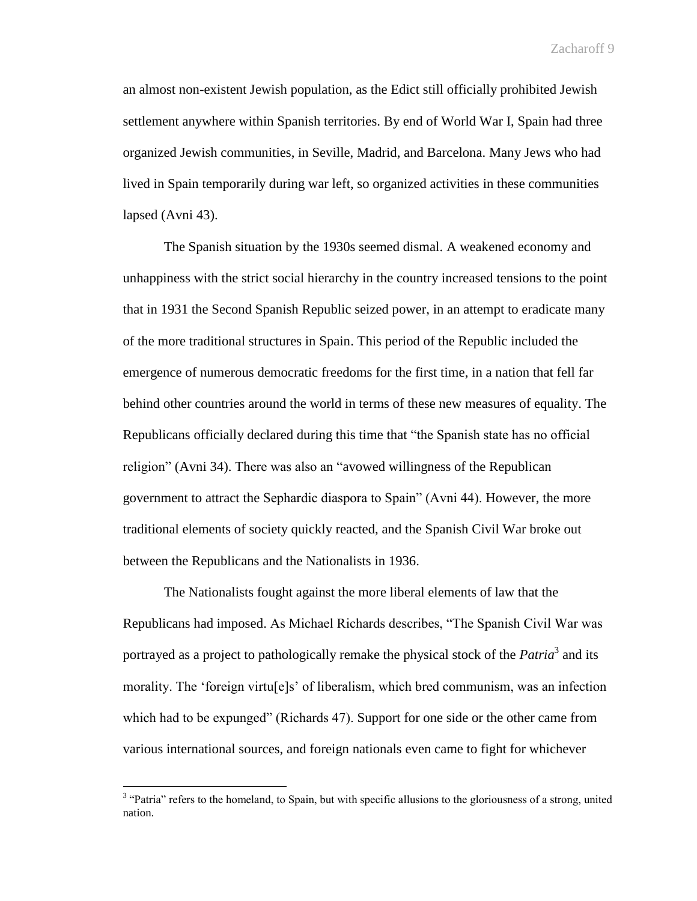an almost non-existent Jewish population, as the Edict still officially prohibited Jewish settlement anywhere within Spanish territories. By end of World War I, Spain had three organized Jewish communities, in Seville, Madrid, and Barcelona. Many Jews who had lived in Spain temporarily during war left, so organized activities in these communities lapsed (Avni 43).

The Spanish situation by the 1930s seemed dismal. A weakened economy and unhappiness with the strict social hierarchy in the country increased tensions to the point that in 1931 the Second Spanish Republic seized power, in an attempt to eradicate many of the more traditional structures in Spain. This period of the Republic included the emergence of numerous democratic freedoms for the first time, in a nation that fell far behind other countries around the world in terms of these new measures of equality. The Republicans officially declared during this time that "the Spanish state has no official religion" (Avni 34). There was also an "avowed willingness of the Republican government to attract the Sephardic diaspora to Spain" (Avni 44). However, the more traditional elements of society quickly reacted, and the Spanish Civil War broke out between the Republicans and the Nationalists in 1936.

The Nationalists fought against the more liberal elements of law that the Republicans had imposed. As Michael Richards describes, "The Spanish Civil War was portrayed as a project to pathologically remake the physical stock of the *Patria*<sup>3</sup> and its morality. The 'foreign virtu[e]s' of liberalism, which bred communism, was an infection which had to be expunged" (Richards 47). Support for one side or the other came from various international sources, and foreign nationals even came to fight for whichever

 $\overline{a}$ 

<sup>&</sup>lt;sup>3</sup> "Patria" refers to the homeland, to Spain, but with specific allusions to the gloriousness of a strong, united nation.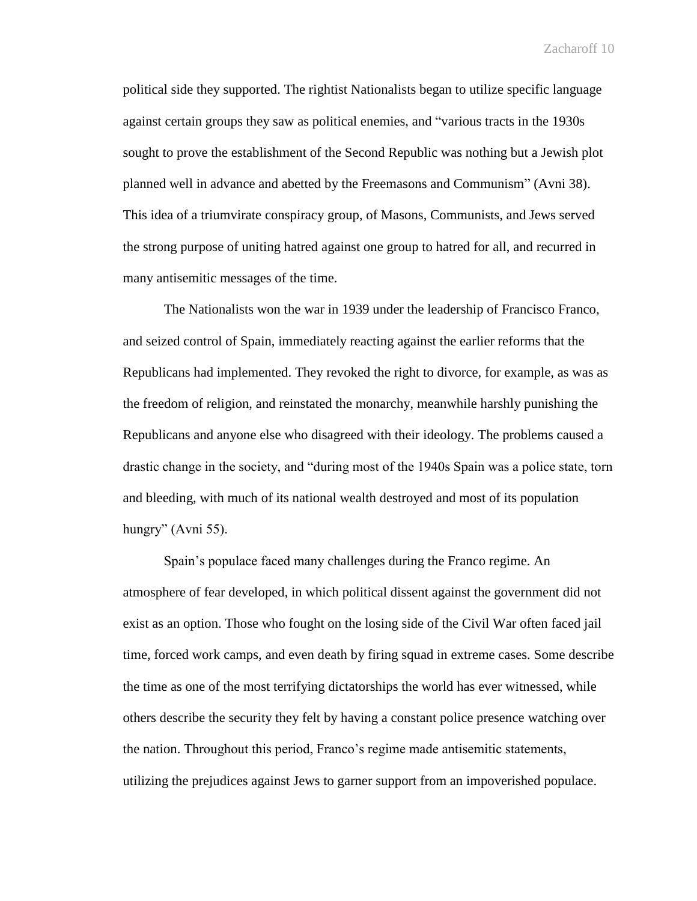political side they supported. The rightist Nationalists began to utilize specific language against certain groups they saw as political enemies, and "various tracts in the 1930s sought to prove the establishment of the Second Republic was nothing but a Jewish plot planned well in advance and abetted by the Freemasons and Communism" (Avni 38). This idea of a triumvirate conspiracy group, of Masons, Communists, and Jews served the strong purpose of uniting hatred against one group to hatred for all, and recurred in many antisemitic messages of the time.

The Nationalists won the war in 1939 under the leadership of Francisco Franco, and seized control of Spain, immediately reacting against the earlier reforms that the Republicans had implemented. They revoked the right to divorce, for example, as was as the freedom of religion, and reinstated the monarchy, meanwhile harshly punishing the Republicans and anyone else who disagreed with their ideology. The problems caused a drastic change in the society, and "during most of the 1940s Spain was a police state, torn and bleeding, with much of its national wealth destroyed and most of its population hungry" (Avni 55).

Spain's populace faced many challenges during the Franco regime. An atmosphere of fear developed, in which political dissent against the government did not exist as an option. Those who fought on the losing side of the Civil War often faced jail time, forced work camps, and even death by firing squad in extreme cases. Some describe the time as one of the most terrifying dictatorships the world has ever witnessed, while others describe the security they felt by having a constant police presence watching over the nation. Throughout this period, Franco's regime made antisemitic statements, utilizing the prejudices against Jews to garner support from an impoverished populace.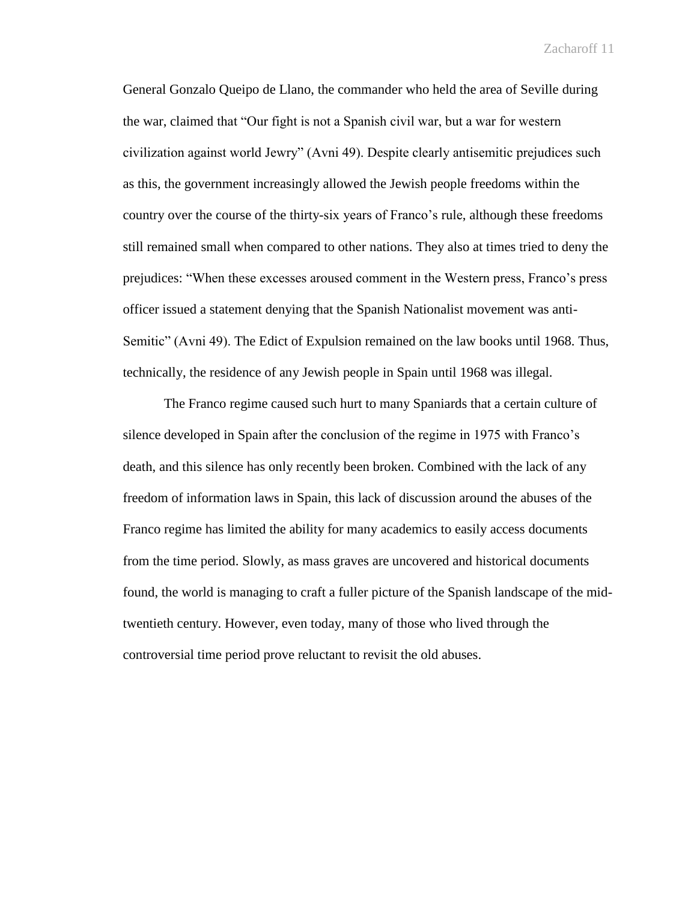General Gonzalo Queipo de Llano, the commander who held the area of Seville during the war, claimed that "Our fight is not a Spanish civil war, but a war for western civilization against world Jewry" (Avni 49). Despite clearly antisemitic prejudices such as this, the government increasingly allowed the Jewish people freedoms within the country over the course of the thirty-six years of Franco's rule, although these freedoms still remained small when compared to other nations. They also at times tried to deny the prejudices: "When these excesses aroused comment in the Western press, Franco's press officer issued a statement denying that the Spanish Nationalist movement was anti-Semitic" (Avni 49). The Edict of Expulsion remained on the law books until 1968. Thus, technically, the residence of any Jewish people in Spain until 1968 was illegal.

The Franco regime caused such hurt to many Spaniards that a certain culture of silence developed in Spain after the conclusion of the regime in 1975 with Franco's death, and this silence has only recently been broken. Combined with the lack of any freedom of information laws in Spain, this lack of discussion around the abuses of the Franco regime has limited the ability for many academics to easily access documents from the time period. Slowly, as mass graves are uncovered and historical documents found, the world is managing to craft a fuller picture of the Spanish landscape of the midtwentieth century. However, even today, many of those who lived through the controversial time period prove reluctant to revisit the old abuses.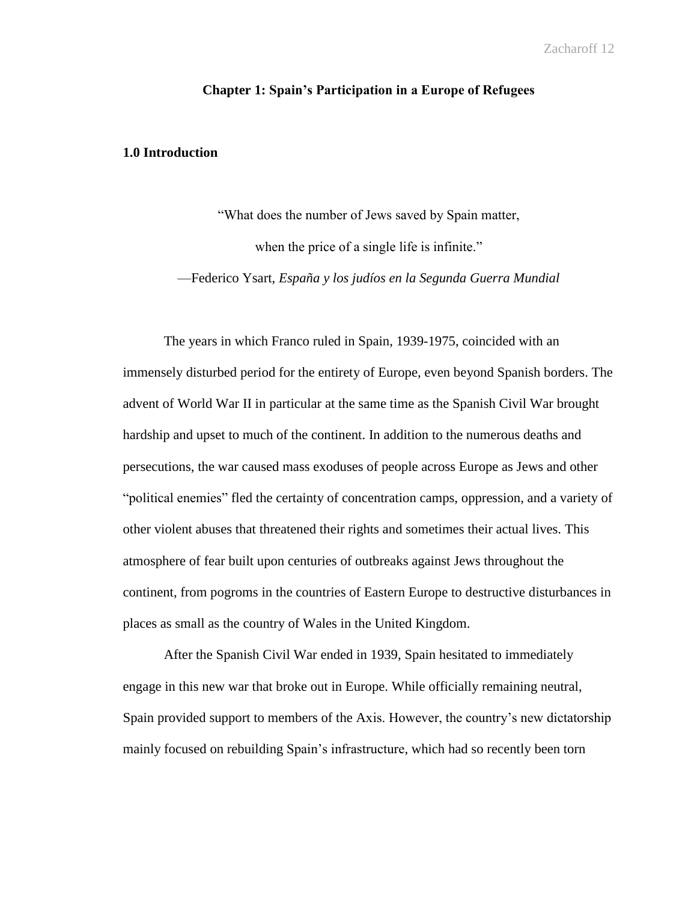## **Chapter 1: Spain's Participation in a Europe of Refugees**

## **1.0 Introduction**

"What does the number of Jews saved by Spain matter, when the price of a single life is infinite."

—Federico Ysart, *España y los judíos en la Segunda Guerra Mundial*

The years in which Franco ruled in Spain, 1939-1975, coincided with an immensely disturbed period for the entirety of Europe, even beyond Spanish borders. The advent of World War II in particular at the same time as the Spanish Civil War brought hardship and upset to much of the continent. In addition to the numerous deaths and persecutions, the war caused mass exoduses of people across Europe as Jews and other "political enemies" fled the certainty of concentration camps, oppression, and a variety of other violent abuses that threatened their rights and sometimes their actual lives. This atmosphere of fear built upon centuries of outbreaks against Jews throughout the continent, from pogroms in the countries of Eastern Europe to destructive disturbances in places as small as the country of Wales in the United Kingdom.

After the Spanish Civil War ended in 1939, Spain hesitated to immediately engage in this new war that broke out in Europe. While officially remaining neutral, Spain provided support to members of the Axis. However, the country's new dictatorship mainly focused on rebuilding Spain's infrastructure, which had so recently been torn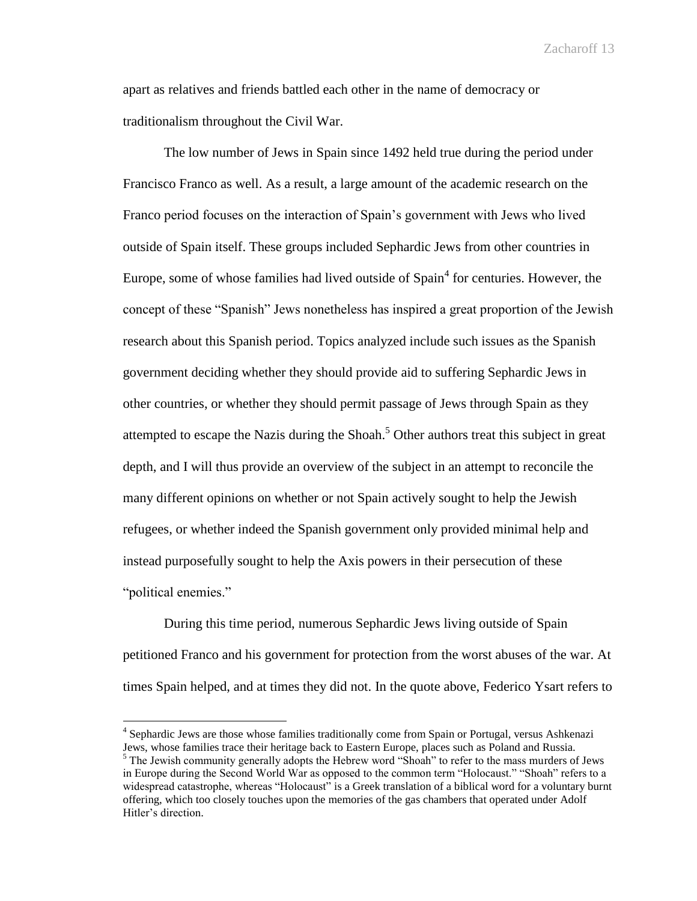apart as relatives and friends battled each other in the name of democracy or traditionalism throughout the Civil War.

The low number of Jews in Spain since 1492 held true during the period under Francisco Franco as well. As a result, a large amount of the academic research on the Franco period focuses on the interaction of Spain's government with Jews who lived outside of Spain itself. These groups included Sephardic Jews from other countries in Europe, some of whose families had lived outside of  $Spin<sup>4</sup>$  for centuries. However, the concept of these "Spanish" Jews nonetheless has inspired a great proportion of the Jewish research about this Spanish period. Topics analyzed include such issues as the Spanish government deciding whether they should provide aid to suffering Sephardic Jews in other countries, or whether they should permit passage of Jews through Spain as they attempted to escape the Nazis during the Shoah.<sup>5</sup> Other authors treat this subject in great depth, and I will thus provide an overview of the subject in an attempt to reconcile the many different opinions on whether or not Spain actively sought to help the Jewish refugees, or whether indeed the Spanish government only provided minimal help and instead purposefully sought to help the Axis powers in their persecution of these "political enemies."

During this time period, numerous Sephardic Jews living outside of Spain petitioned Franco and his government for protection from the worst abuses of the war. At times Spain helped, and at times they did not. In the quote above, Federico Ysart refers to

 $\overline{a}$ 

<sup>&</sup>lt;sup>4</sup> Sephardic Jews are those whose families traditionally come from Spain or Portugal, versus Ashkenazi Jews, whose families trace their heritage back to Eastern Europe, places such as Poland and Russia.  $<sup>5</sup>$  The Jewish community generally adopts the Hebrew word "Shoah" to refer to the mass murders of Jews</sup> in Europe during the Second World War as opposed to the common term "Holocaust." "Shoah" refers to a widespread catastrophe, whereas "Holocaust" is a Greek translation of a biblical word for a voluntary burnt offering, which too closely touches upon the memories of the gas chambers that operated under Adolf Hitler's direction.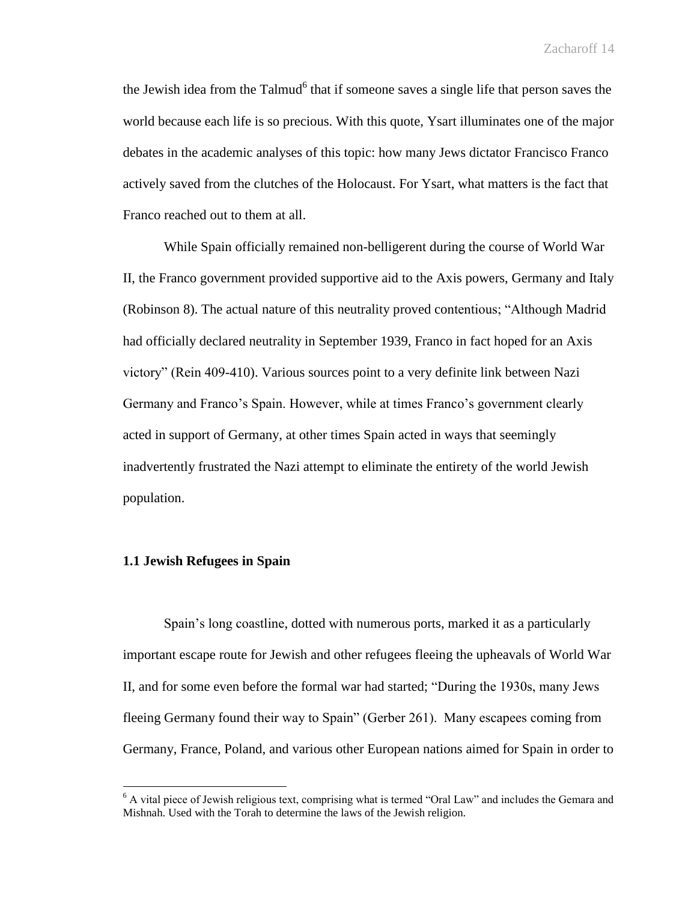the Jewish idea from the Talmud<sup>6</sup> that if someone saves a single life that person saves the world because each life is so precious. With this quote, Ysart illuminates one of the major debates in the academic analyses of this topic: how many Jews dictator Francisco Franco actively saved from the clutches of the Holocaust. For Ysart, what matters is the fact that Franco reached out to them at all.

While Spain officially remained non-belligerent during the course of World War II, the Franco government provided supportive aid to the Axis powers, Germany and Italy (Robinson 8). The actual nature of this neutrality proved contentious; "Although Madrid had officially declared neutrality in September 1939, Franco in fact hoped for an Axis victory" (Rein 409-410). Various sources point to a very definite link between Nazi Germany and Franco's Spain. However, while at times Franco's government clearly acted in support of Germany, at other times Spain acted in ways that seemingly inadvertently frustrated the Nazi attempt to eliminate the entirety of the world Jewish population.

## **1.1 Jewish Refugees in Spain**

 $\overline{a}$ 

Spain's long coastline, dotted with numerous ports, marked it as a particularly important escape route for Jewish and other refugees fleeing the upheavals of World War II, and for some even before the formal war had started; "During the 1930s, many Jews fleeing Germany found their way to Spain" (Gerber 261). Many escapees coming from Germany, France, Poland, and various other European nations aimed for Spain in order to

<sup>&</sup>lt;sup>6</sup> A vital piece of Jewish religious text, comprising what is termed "Oral Law" and includes the Gemara and Mishnah. Used with the Torah to determine the laws of the Jewish religion.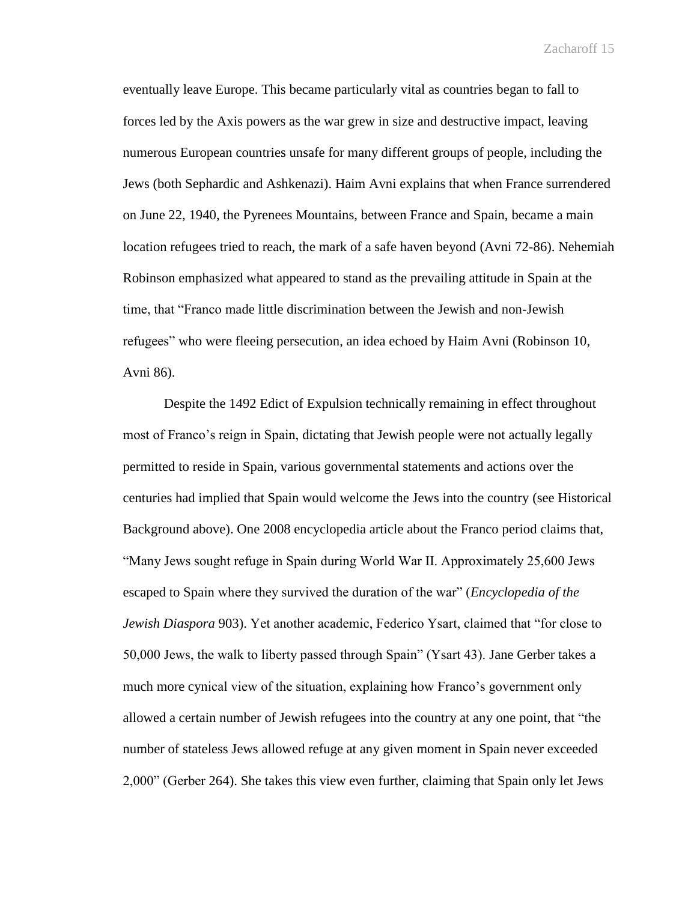eventually leave Europe. This became particularly vital as countries began to fall to forces led by the Axis powers as the war grew in size and destructive impact, leaving numerous European countries unsafe for many different groups of people, including the Jews (both Sephardic and Ashkenazi). Haim Avni explains that when France surrendered on June 22, 1940, the Pyrenees Mountains, between France and Spain, became a main location refugees tried to reach, the mark of a safe haven beyond (Avni 72-86). Nehemiah Robinson emphasized what appeared to stand as the prevailing attitude in Spain at the time, that "Franco made little discrimination between the Jewish and non-Jewish refugees" who were fleeing persecution, an idea echoed by Haim Avni (Robinson 10, Avni 86).

Despite the 1492 Edict of Expulsion technically remaining in effect throughout most of Franco's reign in Spain, dictating that Jewish people were not actually legally permitted to reside in Spain, various governmental statements and actions over the centuries had implied that Spain would welcome the Jews into the country (see Historical Background above). One 2008 encyclopedia article about the Franco period claims that, "Many Jews sought refuge in Spain during World War II. Approximately 25,600 Jews escaped to Spain where they survived the duration of the war" (*Encyclopedia of the Jewish Diaspora* 903). Yet another academic, Federico Ysart, claimed that "for close to 50,000 Jews, the walk to liberty passed through Spain" (Ysart 43). Jane Gerber takes a much more cynical view of the situation, explaining how Franco's government only allowed a certain number of Jewish refugees into the country at any one point, that "the number of stateless Jews allowed refuge at any given moment in Spain never exceeded 2,000" (Gerber 264). She takes this view even further, claiming that Spain only let Jews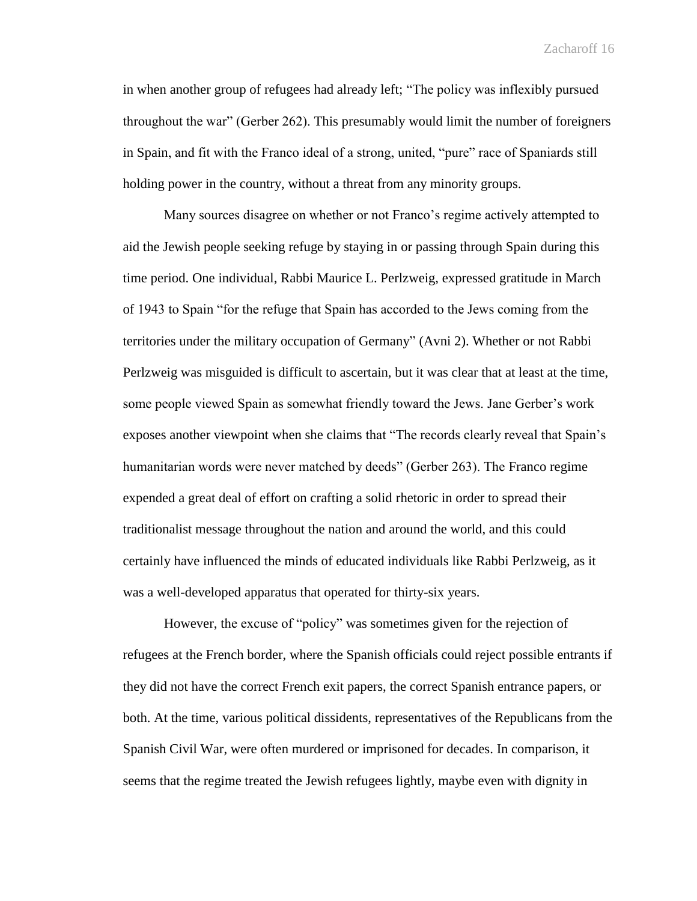in when another group of refugees had already left; "The policy was inflexibly pursued throughout the war" (Gerber 262). This presumably would limit the number of foreigners in Spain, and fit with the Franco ideal of a strong, united, "pure" race of Spaniards still holding power in the country, without a threat from any minority groups.

Many sources disagree on whether or not Franco's regime actively attempted to aid the Jewish people seeking refuge by staying in or passing through Spain during this time period. One individual, Rabbi Maurice L. Perlzweig, expressed gratitude in March of 1943 to Spain "for the refuge that Spain has accorded to the Jews coming from the territories under the military occupation of Germany" (Avni 2). Whether or not Rabbi Perlzweig was misguided is difficult to ascertain, but it was clear that at least at the time, some people viewed Spain as somewhat friendly toward the Jews. Jane Gerber's work exposes another viewpoint when she claims that "The records clearly reveal that Spain's humanitarian words were never matched by deeds" (Gerber 263). The Franco regime expended a great deal of effort on crafting a solid rhetoric in order to spread their traditionalist message throughout the nation and around the world, and this could certainly have influenced the minds of educated individuals like Rabbi Perlzweig, as it was a well-developed apparatus that operated for thirty-six years.

However, the excuse of "policy" was sometimes given for the rejection of refugees at the French border, where the Spanish officials could reject possible entrants if they did not have the correct French exit papers, the correct Spanish entrance papers, or both. At the time, various political dissidents, representatives of the Republicans from the Spanish Civil War, were often murdered or imprisoned for decades. In comparison, it seems that the regime treated the Jewish refugees lightly, maybe even with dignity in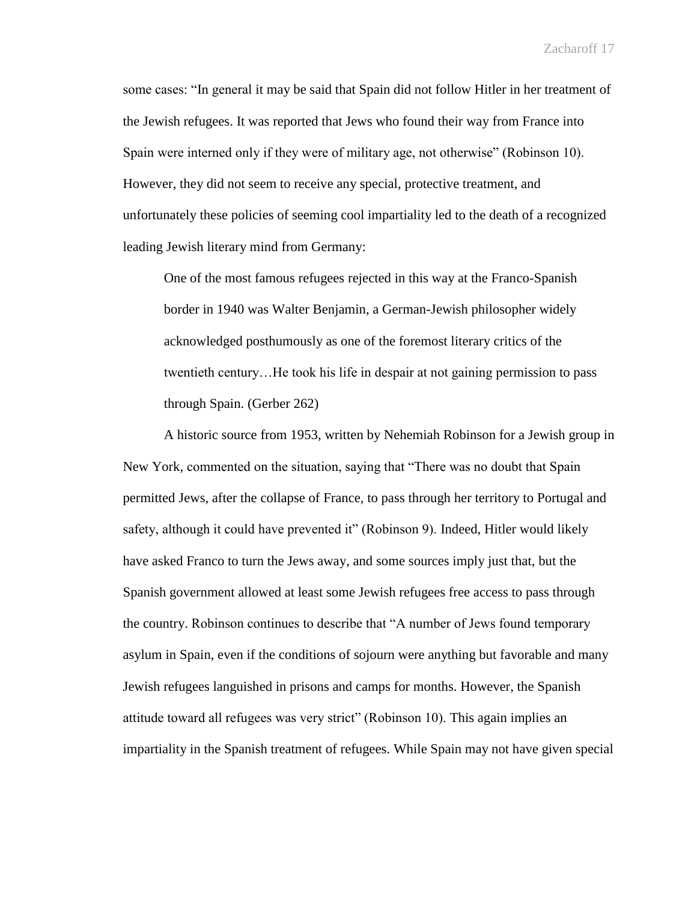some cases: "In general it may be said that Spain did not follow Hitler in her treatment of the Jewish refugees. It was reported that Jews who found their way from France into Spain were interned only if they were of military age, not otherwise" (Robinson 10). However, they did not seem to receive any special, protective treatment, and unfortunately these policies of seeming cool impartiality led to the death of a recognized leading Jewish literary mind from Germany:

One of the most famous refugees rejected in this way at the Franco-Spanish border in 1940 was Walter Benjamin, a German-Jewish philosopher widely acknowledged posthumously as one of the foremost literary critics of the twentieth century…He took his life in despair at not gaining permission to pass through Spain. (Gerber 262)

A historic source from 1953, written by Nehemiah Robinson for a Jewish group in New York, commented on the situation, saying that "There was no doubt that Spain permitted Jews, after the collapse of France, to pass through her territory to Portugal and safety, although it could have prevented it" (Robinson 9). Indeed, Hitler would likely have asked Franco to turn the Jews away, and some sources imply just that, but the Spanish government allowed at least some Jewish refugees free access to pass through the country. Robinson continues to describe that "A number of Jews found temporary asylum in Spain, even if the conditions of sojourn were anything but favorable and many Jewish refugees languished in prisons and camps for months. However, the Spanish attitude toward all refugees was very strict" (Robinson 10). This again implies an impartiality in the Spanish treatment of refugees. While Spain may not have given special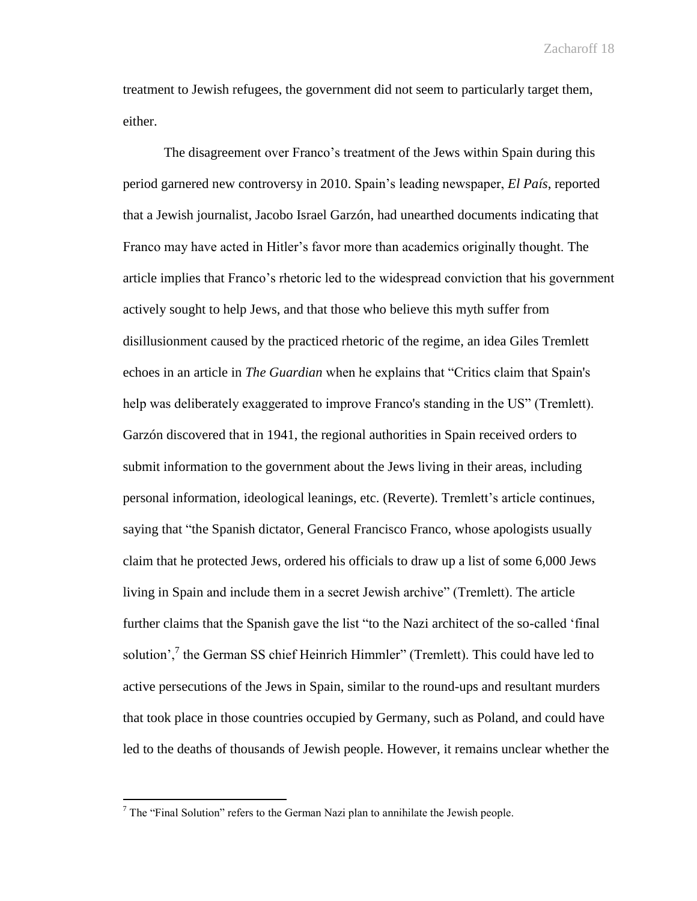treatment to Jewish refugees, the government did not seem to particularly target them, either.

The disagreement over Franco's treatment of the Jews within Spain during this period garnered new controversy in 2010. Spain's leading newspaper, *El País*, reported that a Jewish journalist, Jacobo Israel Garzón, had unearthed documents indicating that Franco may have acted in Hitler's favor more than academics originally thought. The article implies that Franco's rhetoric led to the widespread conviction that his government actively sought to help Jews, and that those who believe this myth suffer from disillusionment caused by the practiced rhetoric of the regime, an idea Giles Tremlett echoes in an article in *The Guardian* when he explains that "Critics claim that Spain's help was deliberately exaggerated to improve Franco's standing in the US" (Tremlett). Garzón discovered that in 1941, the regional authorities in Spain received orders to submit information to the government about the Jews living in their areas, including personal information, ideological leanings, etc. (Reverte). Tremlett's article continues, saying that "the Spanish dictator, General Francisco Franco, whose apologists usually claim that he protected Jews, ordered his officials to draw up a list of some 6,000 Jews living in Spain and include them in a secret Jewish archive" (Tremlett). The article further claims that the Spanish gave the list "to the Nazi architect of the so-called 'final solution',<sup>7</sup> the German SS chief Heinrich Himmler" (Tremlett). This could have led to active persecutions of the Jews in Spain, similar to the round-ups and resultant murders that took place in those countries occupied by Germany, such as Poland, and could have led to the deaths of thousands of Jewish people. However, it remains unclear whether the

 $\overline{a}$ 

 $<sup>7</sup>$  The "Final Solution" refers to the German Nazi plan to annihilate the Jewish people.</sup>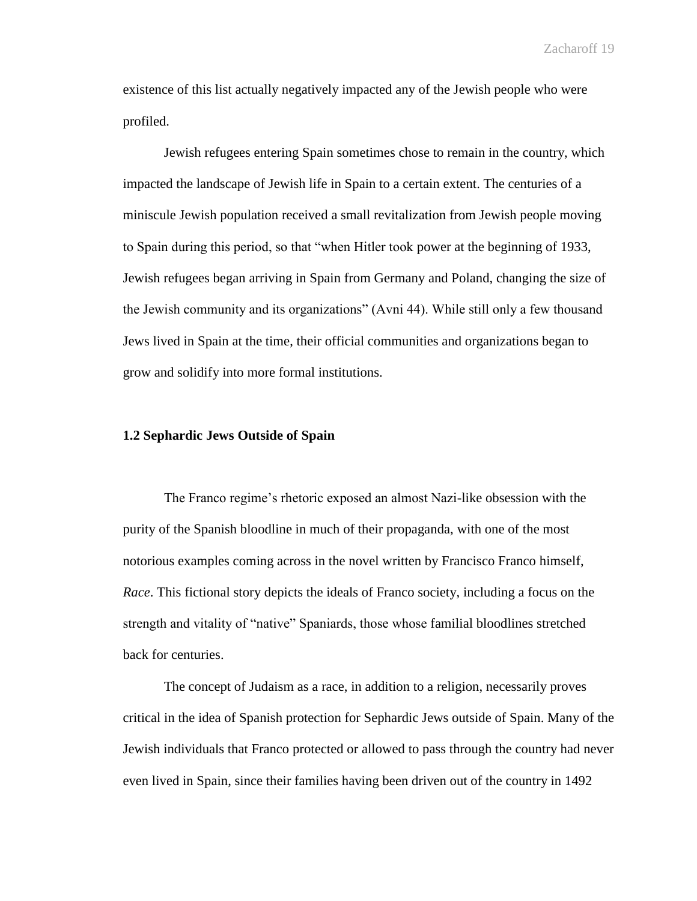existence of this list actually negatively impacted any of the Jewish people who were profiled.

Jewish refugees entering Spain sometimes chose to remain in the country, which impacted the landscape of Jewish life in Spain to a certain extent. The centuries of a miniscule Jewish population received a small revitalization from Jewish people moving to Spain during this period, so that "when Hitler took power at the beginning of 1933, Jewish refugees began arriving in Spain from Germany and Poland, changing the size of the Jewish community and its organizations" (Avni 44). While still only a few thousand Jews lived in Spain at the time, their official communities and organizations began to grow and solidify into more formal institutions.

#### **1.2 Sephardic Jews Outside of Spain**

The Franco regime's rhetoric exposed an almost Nazi-like obsession with the purity of the Spanish bloodline in much of their propaganda, with one of the most notorious examples coming across in the novel written by Francisco Franco himself, *Race*. This fictional story depicts the ideals of Franco society, including a focus on the strength and vitality of "native" Spaniards, those whose familial bloodlines stretched back for centuries.

The concept of Judaism as a race, in addition to a religion, necessarily proves critical in the idea of Spanish protection for Sephardic Jews outside of Spain. Many of the Jewish individuals that Franco protected or allowed to pass through the country had never even lived in Spain, since their families having been driven out of the country in 1492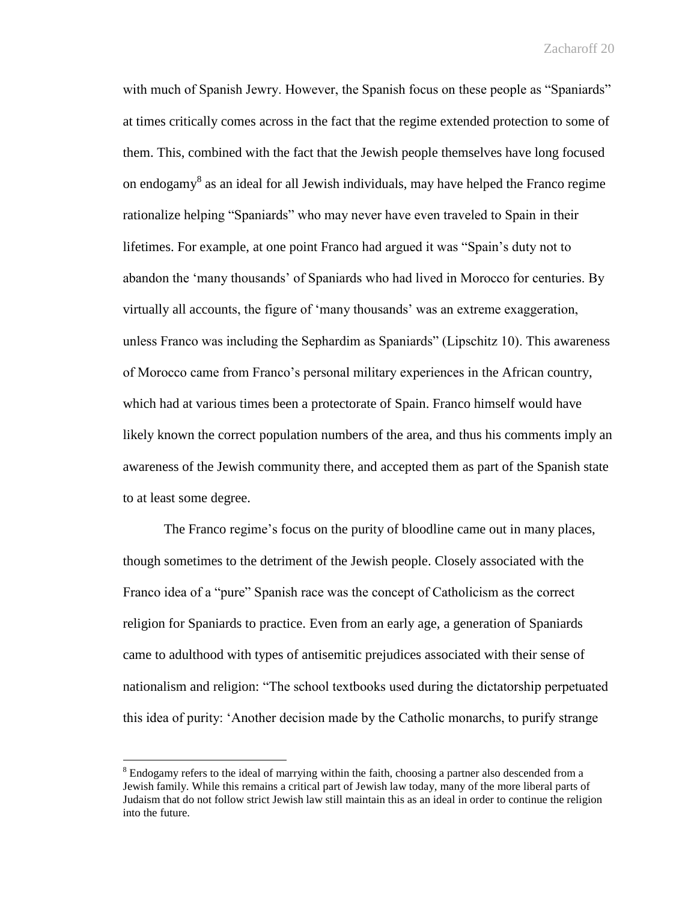with much of Spanish Jewry. However, the Spanish focus on these people as "Spaniards" at times critically comes across in the fact that the regime extended protection to some of them. This, combined with the fact that the Jewish people themselves have long focused on endogamy<sup>8</sup> as an ideal for all Jewish individuals, may have helped the Franco regime rationalize helping "Spaniards" who may never have even traveled to Spain in their lifetimes. For example, at one point Franco had argued it was "Spain's duty not to abandon the 'many thousands' of Spaniards who had lived in Morocco for centuries. By virtually all accounts, the figure of 'many thousands' was an extreme exaggeration, unless Franco was including the Sephardim as Spaniards" (Lipschitz 10). This awareness of Morocco came from Franco's personal military experiences in the African country, which had at various times been a protectorate of Spain. Franco himself would have likely known the correct population numbers of the area, and thus his comments imply an awareness of the Jewish community there, and accepted them as part of the Spanish state to at least some degree.

The Franco regime's focus on the purity of bloodline came out in many places, though sometimes to the detriment of the Jewish people. Closely associated with the Franco idea of a "pure" Spanish race was the concept of Catholicism as the correct religion for Spaniards to practice. Even from an early age, a generation of Spaniards came to adulthood with types of antisemitic prejudices associated with their sense of nationalism and religion: "The school textbooks used during the dictatorship perpetuated this idea of purity: 'Another decision made by the Catholic monarchs, to purify strange

 $\overline{a}$ 

 $8$  Endogamy refers to the ideal of marrying within the faith, choosing a partner also descended from a Jewish family. While this remains a critical part of Jewish law today, many of the more liberal parts of Judaism that do not follow strict Jewish law still maintain this as an ideal in order to continue the religion into the future.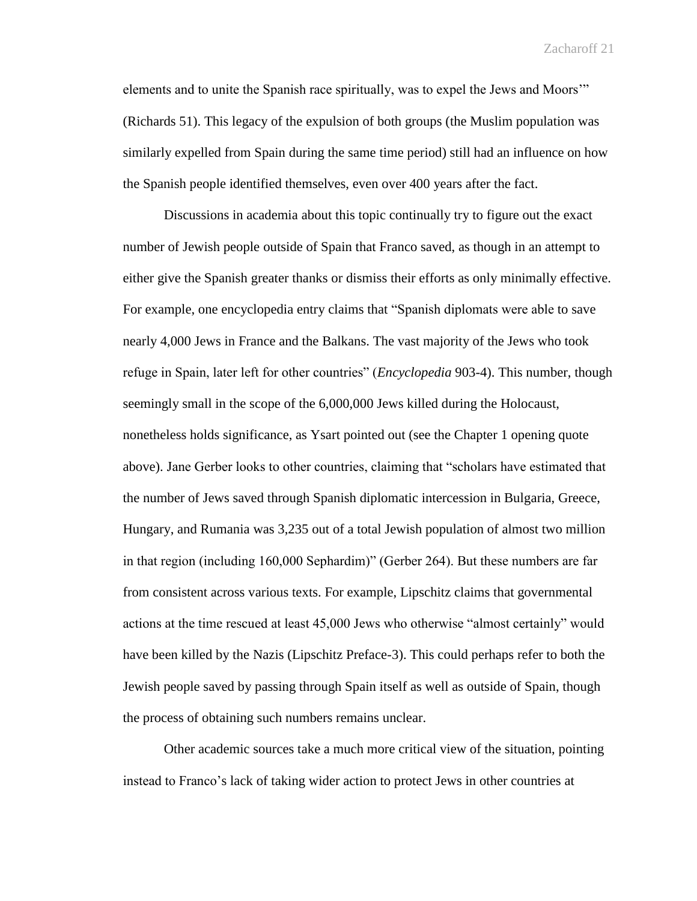elements and to unite the Spanish race spiritually, was to expel the Jews and Moors'" (Richards 51). This legacy of the expulsion of both groups (the Muslim population was similarly expelled from Spain during the same time period) still had an influence on how the Spanish people identified themselves, even over 400 years after the fact.

Discussions in academia about this topic continually try to figure out the exact number of Jewish people outside of Spain that Franco saved, as though in an attempt to either give the Spanish greater thanks or dismiss their efforts as only minimally effective. For example, one encyclopedia entry claims that "Spanish diplomats were able to save nearly 4,000 Jews in France and the Balkans. The vast majority of the Jews who took refuge in Spain, later left for other countries" (*Encyclopedia* 903-4). This number, though seemingly small in the scope of the 6,000,000 Jews killed during the Holocaust, nonetheless holds significance, as Ysart pointed out (see the Chapter 1 opening quote above). Jane Gerber looks to other countries, claiming that "scholars have estimated that the number of Jews saved through Spanish diplomatic intercession in Bulgaria, Greece, Hungary, and Rumania was 3,235 out of a total Jewish population of almost two million in that region (including 160,000 Sephardim)" (Gerber 264). But these numbers are far from consistent across various texts. For example, Lipschitz claims that governmental actions at the time rescued at least 45,000 Jews who otherwise "almost certainly" would have been killed by the Nazis (Lipschitz Preface-3). This could perhaps refer to both the Jewish people saved by passing through Spain itself as well as outside of Spain, though the process of obtaining such numbers remains unclear.

Other academic sources take a much more critical view of the situation, pointing instead to Franco's lack of taking wider action to protect Jews in other countries at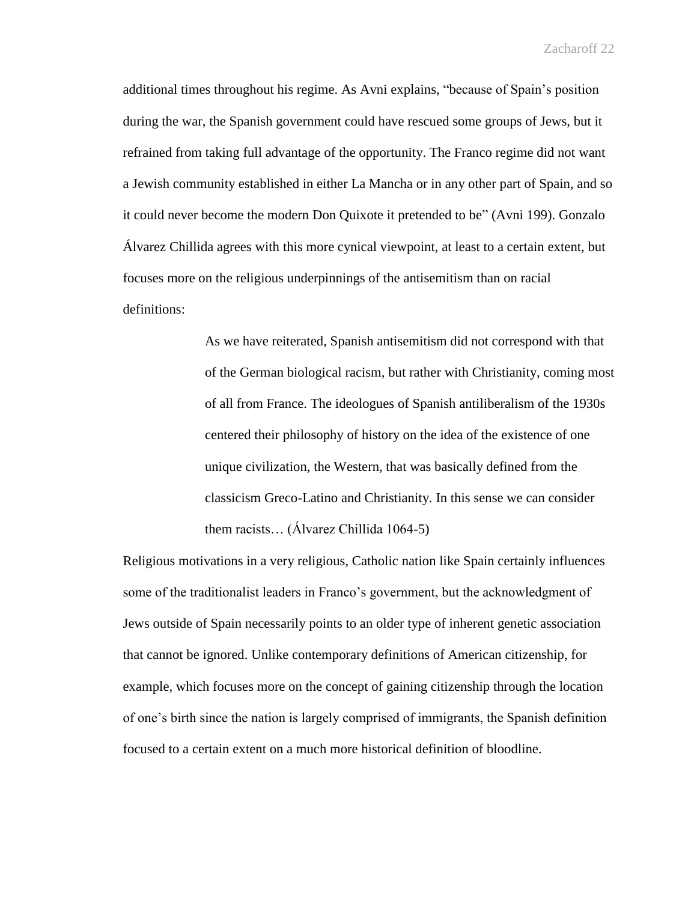additional times throughout his regime. As Avni explains, "because of Spain's position during the war, the Spanish government could have rescued some groups of Jews, but it refrained from taking full advantage of the opportunity. The Franco regime did not want a Jewish community established in either La Mancha or in any other part of Spain, and so it could never become the modern Don Quixote it pretended to be" (Avni 199). Gonzalo Álvarez Chillida agrees with this more cynical viewpoint, at least to a certain extent, but focuses more on the religious underpinnings of the antisemitism than on racial definitions:

> As we have reiterated, Spanish antisemitism did not correspond with that of the German biological racism, but rather with Christianity, coming most of all from France. The ideologues of Spanish antiliberalism of the 1930s centered their philosophy of history on the idea of the existence of one unique civilization, the Western, that was basically defined from the classicism Greco-Latino and Christianity. In this sense we can consider them racists… (Álvarez Chillida 1064-5)

Religious motivations in a very religious, Catholic nation like Spain certainly influences some of the traditionalist leaders in Franco's government, but the acknowledgment of Jews outside of Spain necessarily points to an older type of inherent genetic association that cannot be ignored. Unlike contemporary definitions of American citizenship, for example, which focuses more on the concept of gaining citizenship through the location of one's birth since the nation is largely comprised of immigrants, the Spanish definition focused to a certain extent on a much more historical definition of bloodline.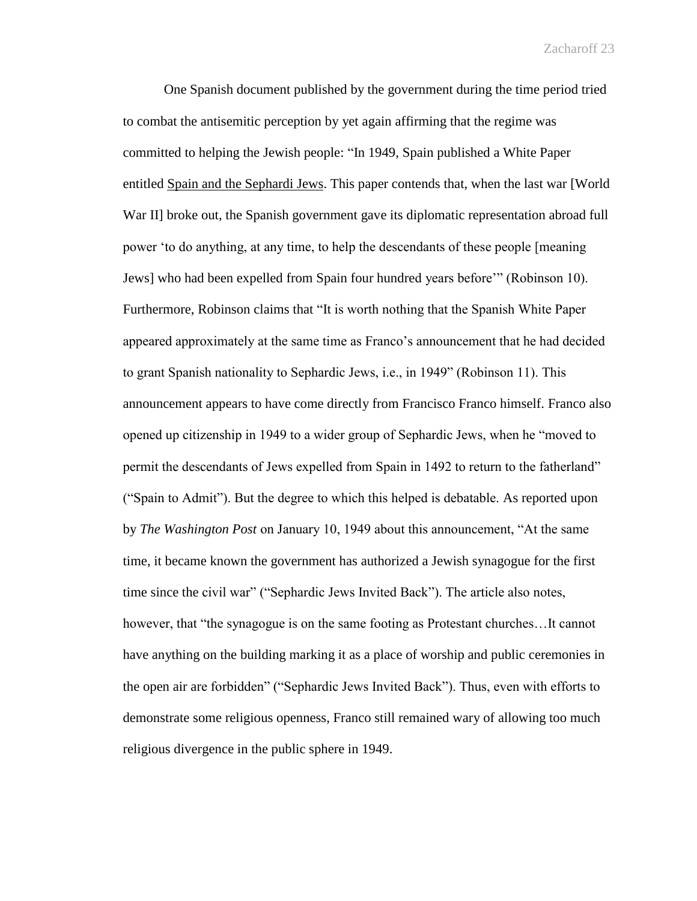One Spanish document published by the government during the time period tried to combat the antisemitic perception by yet again affirming that the regime was committed to helping the Jewish people: "In 1949, Spain published a White Paper entitled Spain and the Sephardi Jews. This paper contends that, when the last war [World War II] broke out, the Spanish government gave its diplomatic representation abroad full power 'to do anything, at any time, to help the descendants of these people [meaning Jews] who had been expelled from Spain four hundred years before'" (Robinson 10). Furthermore, Robinson claims that "It is worth nothing that the Spanish White Paper appeared approximately at the same time as Franco's announcement that he had decided to grant Spanish nationality to Sephardic Jews, i.e., in 1949" (Robinson 11). This announcement appears to have come directly from Francisco Franco himself. Franco also opened up citizenship in 1949 to a wider group of Sephardic Jews, when he "moved to permit the descendants of Jews expelled from Spain in 1492 to return to the fatherland" ("Spain to Admit"). But the degree to which this helped is debatable. As reported upon by *The Washington Post* on January 10, 1949 about this announcement, "At the same time, it became known the government has authorized a Jewish synagogue for the first time since the civil war" ("Sephardic Jews Invited Back"). The article also notes, however, that "the synagogue is on the same footing as Protestant churches…It cannot have anything on the building marking it as a place of worship and public ceremonies in the open air are forbidden" ("Sephardic Jews Invited Back"). Thus, even with efforts to demonstrate some religious openness, Franco still remained wary of allowing too much religious divergence in the public sphere in 1949.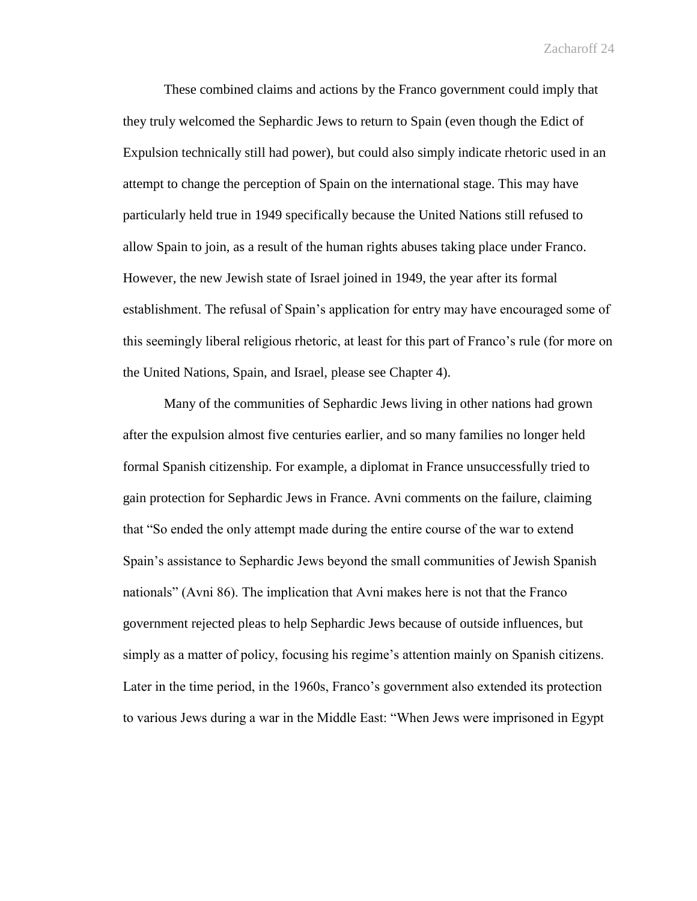These combined claims and actions by the Franco government could imply that they truly welcomed the Sephardic Jews to return to Spain (even though the Edict of Expulsion technically still had power), but could also simply indicate rhetoric used in an attempt to change the perception of Spain on the international stage. This may have particularly held true in 1949 specifically because the United Nations still refused to allow Spain to join, as a result of the human rights abuses taking place under Franco. However, the new Jewish state of Israel joined in 1949, the year after its formal establishment. The refusal of Spain's application for entry may have encouraged some of this seemingly liberal religious rhetoric, at least for this part of Franco's rule (for more on the United Nations, Spain, and Israel, please see Chapter 4).

Many of the communities of Sephardic Jews living in other nations had grown after the expulsion almost five centuries earlier, and so many families no longer held formal Spanish citizenship. For example, a diplomat in France unsuccessfully tried to gain protection for Sephardic Jews in France. Avni comments on the failure, claiming that "So ended the only attempt made during the entire course of the war to extend Spain's assistance to Sephardic Jews beyond the small communities of Jewish Spanish nationals" (Avni 86). The implication that Avni makes here is not that the Franco government rejected pleas to help Sephardic Jews because of outside influences, but simply as a matter of policy, focusing his regime's attention mainly on Spanish citizens. Later in the time period, in the 1960s, Franco's government also extended its protection to various Jews during a war in the Middle East: "When Jews were imprisoned in Egypt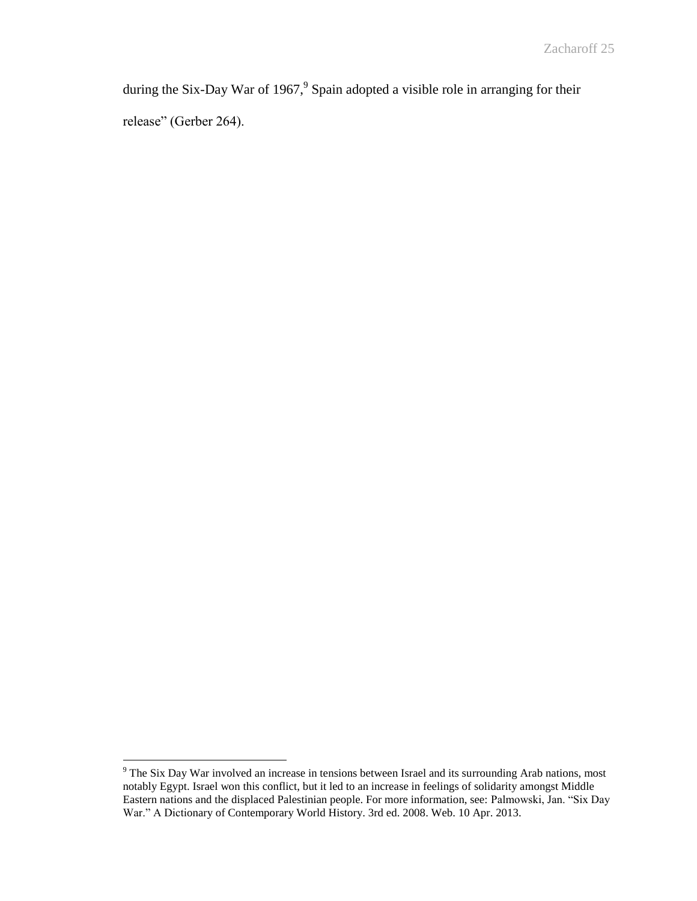during the Six-Day War of 1967,<sup>9</sup> Spain adopted a visible role in arranging for their release" (Gerber 264).

 $\overline{a}$ 

 $9^9$  The Six Day War involved an increase in tensions between Israel and its surrounding Arab nations, most notably Egypt. Israel won this conflict, but it led to an increase in feelings of solidarity amongst Middle Eastern nations and the displaced Palestinian people. For more information, see: Palmowski, Jan. "Six Day War." A Dictionary of Contemporary World History. 3rd ed. 2008. Web. 10 Apr. 2013.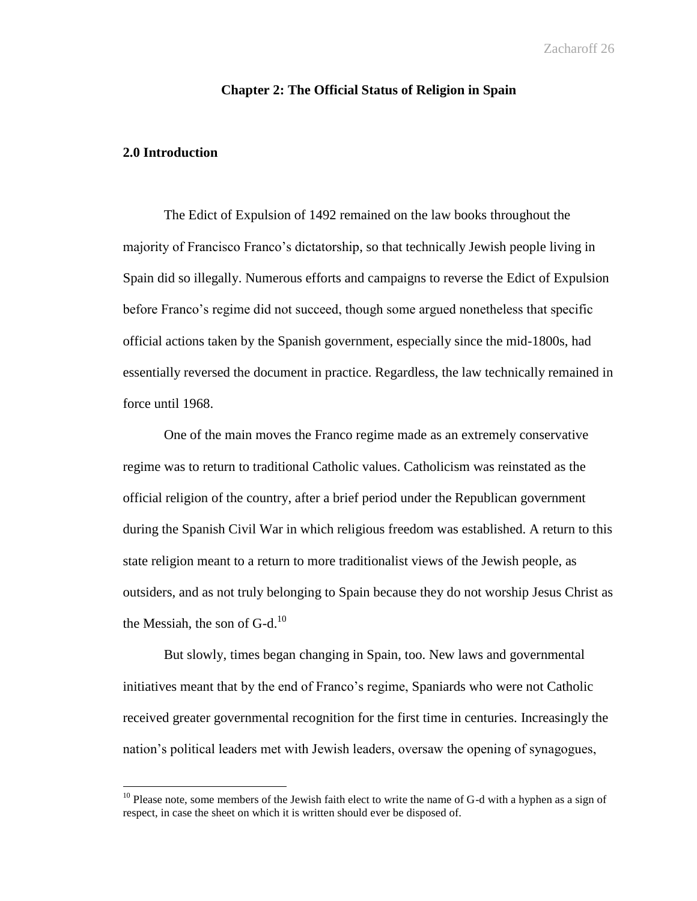## **Chapter 2: The Official Status of Religion in Spain**

## **2.0 Introduction**

 $\overline{a}$ 

The Edict of Expulsion of 1492 remained on the law books throughout the majority of Francisco Franco's dictatorship, so that technically Jewish people living in Spain did so illegally. Numerous efforts and campaigns to reverse the Edict of Expulsion before Franco's regime did not succeed, though some argued nonetheless that specific official actions taken by the Spanish government, especially since the mid-1800s, had essentially reversed the document in practice. Regardless, the law technically remained in force until 1968.

One of the main moves the Franco regime made as an extremely conservative regime was to return to traditional Catholic values. Catholicism was reinstated as the official religion of the country, after a brief period under the Republican government during the Spanish Civil War in which religious freedom was established. A return to this state religion meant to a return to more traditionalist views of the Jewish people, as outsiders, and as not truly belonging to Spain because they do not worship Jesus Christ as the Messiah, the son of  $G-d.<sup>10</sup>$ 

But slowly, times began changing in Spain, too. New laws and governmental initiatives meant that by the end of Franco's regime, Spaniards who were not Catholic received greater governmental recognition for the first time in centuries. Increasingly the nation's political leaders met with Jewish leaders, oversaw the opening of synagogues,

 $10$  Please note, some members of the Jewish faith elect to write the name of G-d with a hyphen as a sign of respect, in case the sheet on which it is written should ever be disposed of.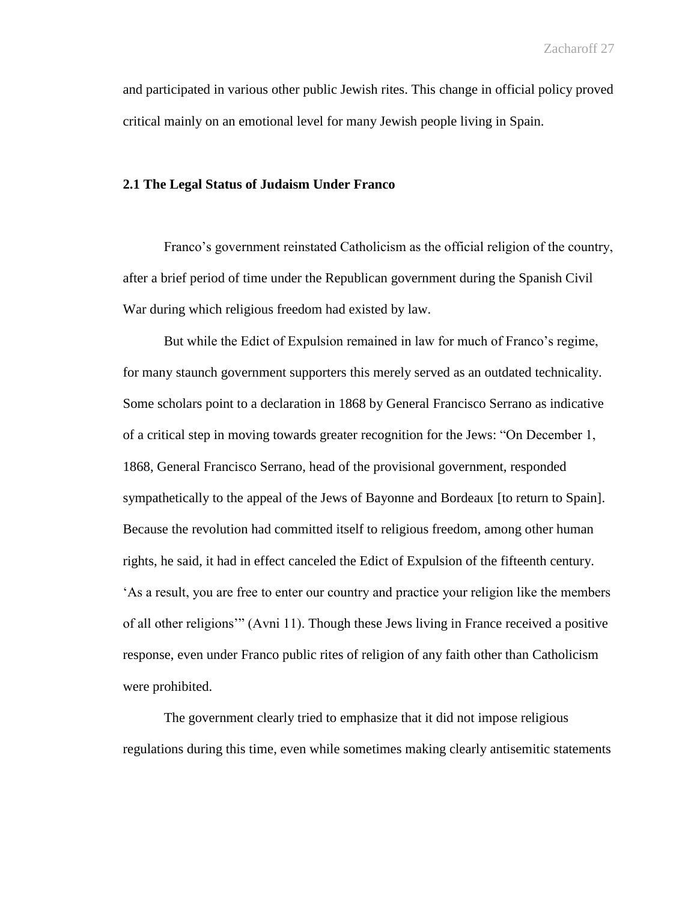and participated in various other public Jewish rites. This change in official policy proved critical mainly on an emotional level for many Jewish people living in Spain.

### **2.1 The Legal Status of Judaism Under Franco**

Franco's government reinstated Catholicism as the official religion of the country, after a brief period of time under the Republican government during the Spanish Civil War during which religious freedom had existed by law.

But while the Edict of Expulsion remained in law for much of Franco's regime, for many staunch government supporters this merely served as an outdated technicality. Some scholars point to a declaration in 1868 by General Francisco Serrano as indicative of a critical step in moving towards greater recognition for the Jews: "On December 1, 1868, General Francisco Serrano, head of the provisional government, responded sympathetically to the appeal of the Jews of Bayonne and Bordeaux [to return to Spain]. Because the revolution had committed itself to religious freedom, among other human rights, he said, it had in effect canceled the Edict of Expulsion of the fifteenth century. 'As a result, you are free to enter our country and practice your religion like the members of all other religions'" (Avni 11). Though these Jews living in France received a positive response, even under Franco public rites of religion of any faith other than Catholicism were prohibited.

The government clearly tried to emphasize that it did not impose religious regulations during this time, even while sometimes making clearly antisemitic statements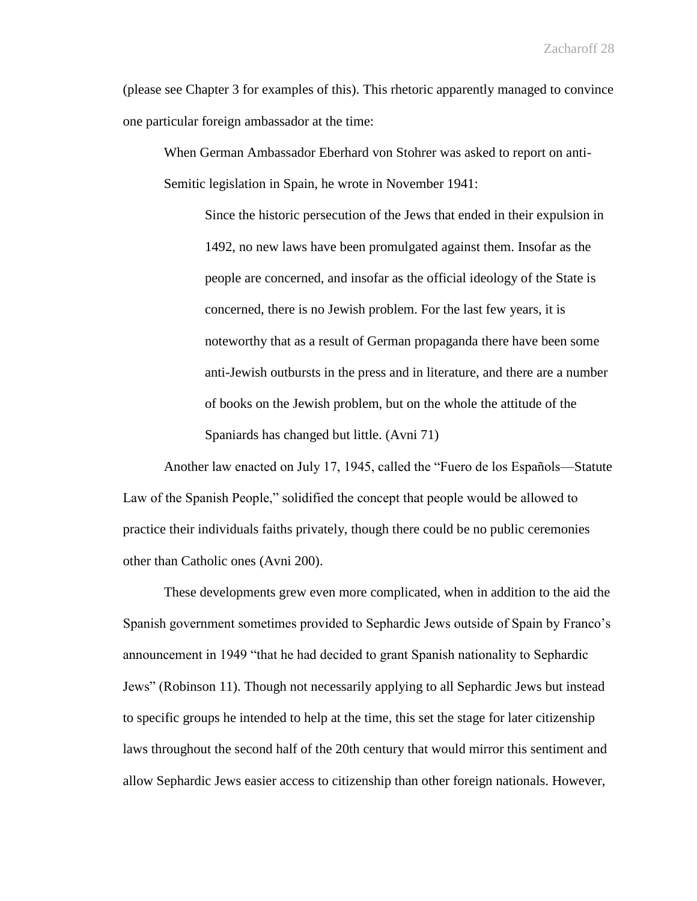(please see Chapter 3 for examples of this). This rhetoric apparently managed to convince one particular foreign ambassador at the time:

When German Ambassador Eberhard von Stohrer was asked to report on anti-Semitic legislation in Spain, he wrote in November 1941:

Since the historic persecution of the Jews that ended in their expulsion in 1492, no new laws have been promulgated against them. Insofar as the people are concerned, and insofar as the official ideology of the State is concerned, there is no Jewish problem. For the last few years, it is noteworthy that as a result of German propaganda there have been some anti-Jewish outbursts in the press and in literature, and there are a number of books on the Jewish problem, but on the whole the attitude of the Spaniards has changed but little. (Avni 71)

Another law enacted on July 17, 1945, called the "Fuero de los Españols—Statute Law of the Spanish People," solidified the concept that people would be allowed to practice their individuals faiths privately, though there could be no public ceremonies other than Catholic ones (Avni 200).

These developments grew even more complicated, when in addition to the aid the Spanish government sometimes provided to Sephardic Jews outside of Spain by Franco's announcement in 1949 "that he had decided to grant Spanish nationality to Sephardic Jews" (Robinson 11). Though not necessarily applying to all Sephardic Jews but instead to specific groups he intended to help at the time, this set the stage for later citizenship laws throughout the second half of the 20th century that would mirror this sentiment and allow Sephardic Jews easier access to citizenship than other foreign nationals. However,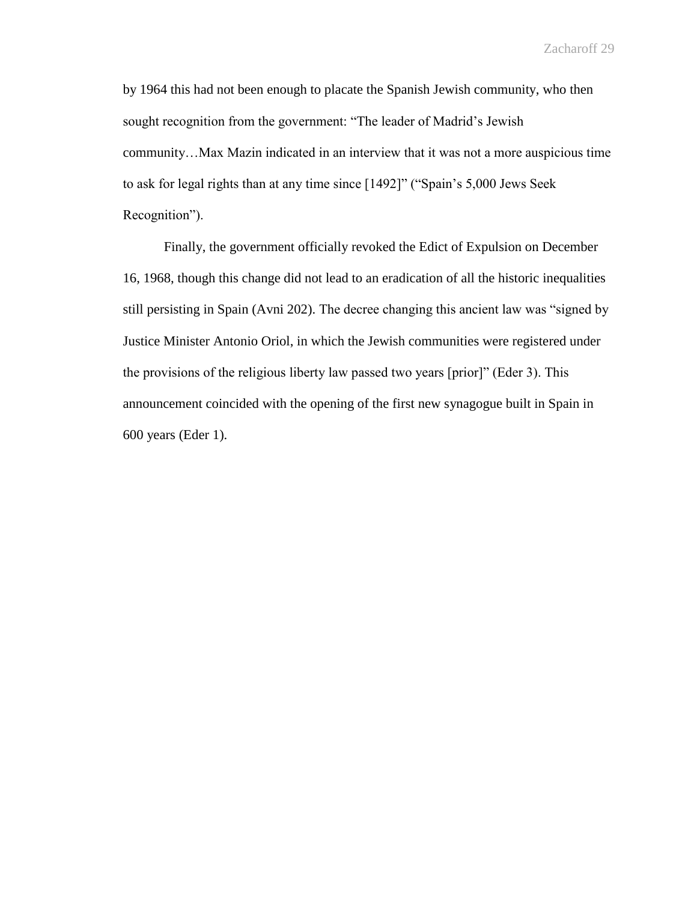by 1964 this had not been enough to placate the Spanish Jewish community, who then sought recognition from the government: "The leader of Madrid's Jewish community…Max Mazin indicated in an interview that it was not a more auspicious time to ask for legal rights than at any time since [1492]" ("Spain's 5,000 Jews Seek Recognition").

Finally, the government officially revoked the Edict of Expulsion on December 16, 1968, though this change did not lead to an eradication of all the historic inequalities still persisting in Spain (Avni 202). The decree changing this ancient law was "signed by Justice Minister Antonio Oriol, in which the Jewish communities were registered under the provisions of the religious liberty law passed two years [prior]" (Eder 3). This announcement coincided with the opening of the first new synagogue built in Spain in 600 years (Eder 1).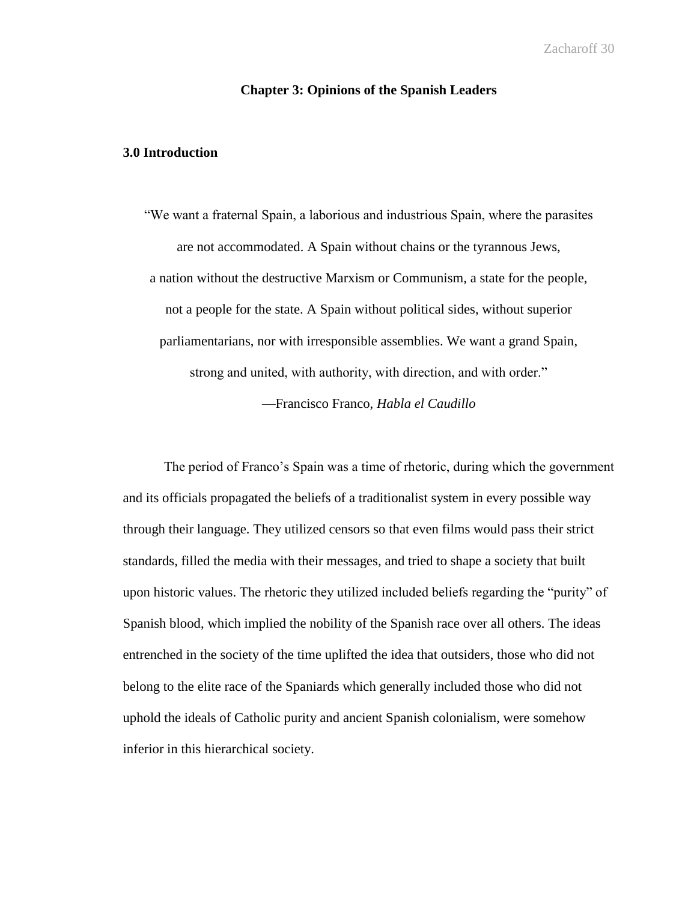## **Chapter 3: Opinions of the Spanish Leaders**

## **3.0 Introduction**

"We want a fraternal Spain, a laborious and industrious Spain, where the parasites are not accommodated. A Spain without chains or the tyrannous Jews, a nation without the destructive Marxism or Communism, a state for the people, not a people for the state. A Spain without political sides, without superior parliamentarians, nor with irresponsible assemblies. We want a grand Spain, strong and united, with authority, with direction, and with order." —Francisco Franco, *Habla el Caudillo*

The period of Franco's Spain was a time of rhetoric, during which the government and its officials propagated the beliefs of a traditionalist system in every possible way through their language. They utilized censors so that even films would pass their strict standards, filled the media with their messages, and tried to shape a society that built upon historic values. The rhetoric they utilized included beliefs regarding the "purity" of Spanish blood, which implied the nobility of the Spanish race over all others. The ideas entrenched in the society of the time uplifted the idea that outsiders, those who did not belong to the elite race of the Spaniards which generally included those who did not uphold the ideals of Catholic purity and ancient Spanish colonialism, were somehow inferior in this hierarchical society.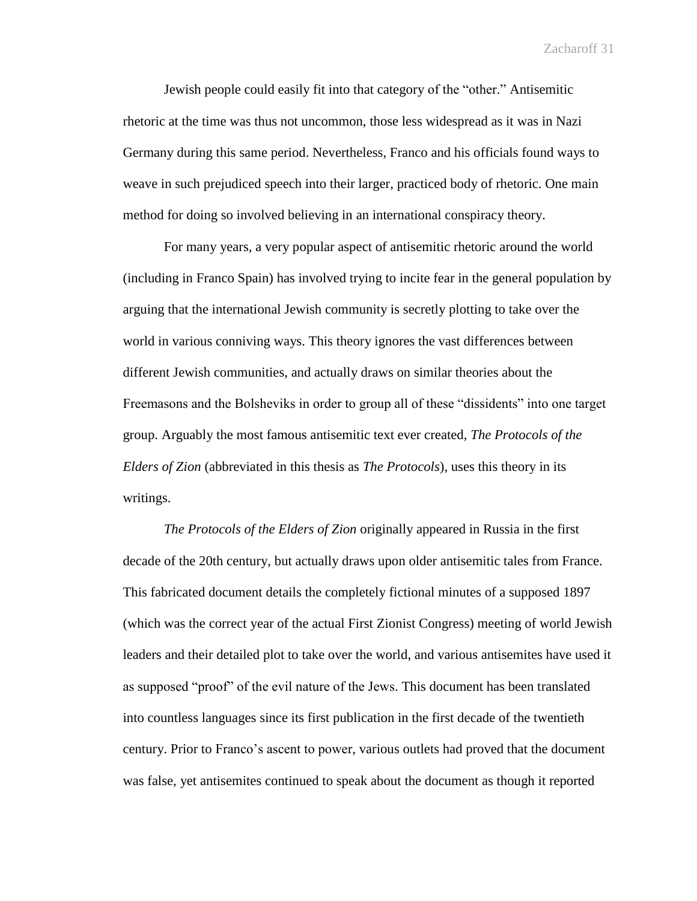Jewish people could easily fit into that category of the "other." Antisemitic rhetoric at the time was thus not uncommon, those less widespread as it was in Nazi Germany during this same period. Nevertheless, Franco and his officials found ways to weave in such prejudiced speech into their larger, practiced body of rhetoric. One main method for doing so involved believing in an international conspiracy theory.

For many years, a very popular aspect of antisemitic rhetoric around the world (including in Franco Spain) has involved trying to incite fear in the general population by arguing that the international Jewish community is secretly plotting to take over the world in various conniving ways. This theory ignores the vast differences between different Jewish communities, and actually draws on similar theories about the Freemasons and the Bolsheviks in order to group all of these "dissidents" into one target group. Arguably the most famous antisemitic text ever created, *The Protocols of the Elders of Zion* (abbreviated in this thesis as *The Protocols*), uses this theory in its writings.

*The Protocols of the Elders of Zion* originally appeared in Russia in the first decade of the 20th century, but actually draws upon older antisemitic tales from France. This fabricated document details the completely fictional minutes of a supposed 1897 (which was the correct year of the actual First Zionist Congress) meeting of world Jewish leaders and their detailed plot to take over the world, and various antisemites have used it as supposed "proof" of the evil nature of the Jews. This document has been translated into countless languages since its first publication in the first decade of the twentieth century. Prior to Franco's ascent to power, various outlets had proved that the document was false, yet antisemites continued to speak about the document as though it reported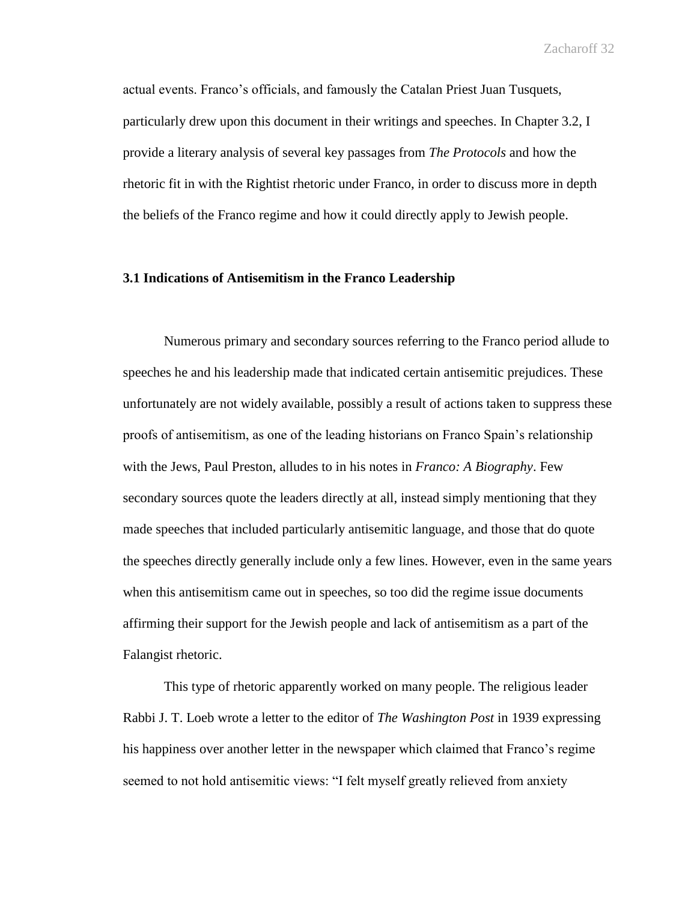actual events. Franco's officials, and famously the Catalan Priest Juan Tusquets, particularly drew upon this document in their writings and speeches. In Chapter 3.2, I provide a literary analysis of several key passages from *The Protocols* and how the rhetoric fit in with the Rightist rhetoric under Franco, in order to discuss more in depth the beliefs of the Franco regime and how it could directly apply to Jewish people.

#### **3.1 Indications of Antisemitism in the Franco Leadership**

Numerous primary and secondary sources referring to the Franco period allude to speeches he and his leadership made that indicated certain antisemitic prejudices. These unfortunately are not widely available, possibly a result of actions taken to suppress these proofs of antisemitism, as one of the leading historians on Franco Spain's relationship with the Jews, Paul Preston, alludes to in his notes in *Franco: A Biography*. Few secondary sources quote the leaders directly at all, instead simply mentioning that they made speeches that included particularly antisemitic language, and those that do quote the speeches directly generally include only a few lines. However, even in the same years when this antisemitism came out in speeches, so too did the regime issue documents affirming their support for the Jewish people and lack of antisemitism as a part of the Falangist rhetoric.

This type of rhetoric apparently worked on many people. The religious leader Rabbi J. T. Loeb wrote a letter to the editor of *The Washington Post* in 1939 expressing his happiness over another letter in the newspaper which claimed that Franco's regime seemed to not hold antisemitic views: "I felt myself greatly relieved from anxiety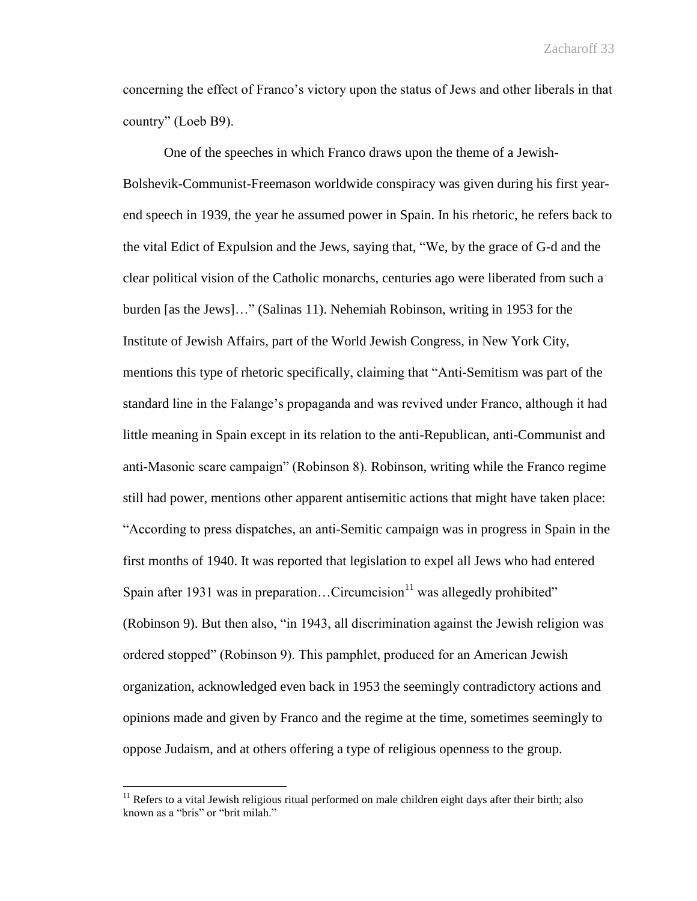concerning the effect of Franco's victory upon the status of Jews and other liberals in that country" (Loeb B9).

One of the speeches in which Franco draws upon the theme of a Jewish-Bolshevik-Communist-Freemason worldwide conspiracy was given during his first yearend speech in 1939, the year he assumed power in Spain. In his rhetoric, he refers back to the vital Edict of Expulsion and the Jews, saying that, "We, by the grace of G-d and the clear political vision of the Catholic monarchs, centuries ago were liberated from such a burden [as the Jews]…" (Salinas 11). Nehemiah Robinson, writing in 1953 for the Institute of Jewish Affairs, part of the World Jewish Congress, in New York City, mentions this type of rhetoric specifically, claiming that "Anti-Semitism was part of the standard line in the Falange's propaganda and was revived under Franco, although it had little meaning in Spain except in its relation to the anti-Republican, anti-Communist and anti-Masonic scare campaign" (Robinson 8). Robinson, writing while the Franco regime still had power, mentions other apparent antisemitic actions that might have taken place: "According to press dispatches, an anti-Semitic campaign was in progress in Spain in the first months of 1940. It was reported that legislation to expel all Jews who had entered Spain after 1931 was in preparation...Circumcision<sup>11</sup> was allegedly prohibited" (Robinson 9). But then also, "in 1943, all discrimination against the Jewish religion was ordered stopped" (Robinson 9). This pamphlet, produced for an American Jewish organization, acknowledged even back in 1953 the seemingly contradictory actions and opinions made and given by Franco and the regime at the time, sometimes seemingly to oppose Judaism, and at others offering a type of religious openness to the group.

 $\overline{a}$ 

 $11$  Refers to a vital Jewish religious ritual performed on male children eight days after their birth; also known as a "bris" or "brit milah."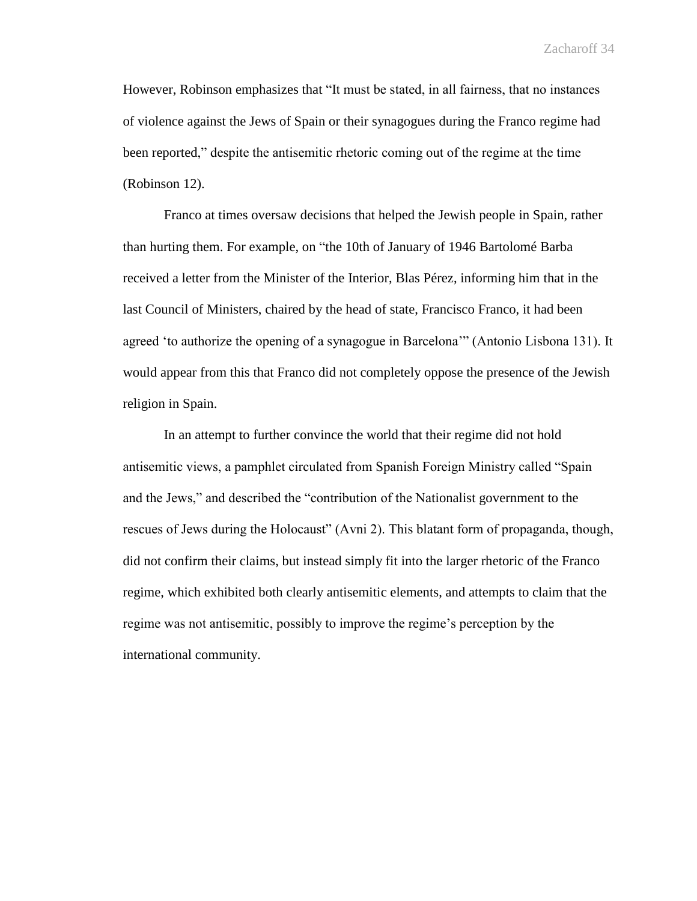However, Robinson emphasizes that "It must be stated, in all fairness, that no instances of violence against the Jews of Spain or their synagogues during the Franco regime had been reported," despite the antisemitic rhetoric coming out of the regime at the time (Robinson 12).

Franco at times oversaw decisions that helped the Jewish people in Spain, rather than hurting them. For example, on "the 10th of January of 1946 Bartolomé Barba received a letter from the Minister of the Interior, Blas Pérez, informing him that in the last Council of Ministers, chaired by the head of state, Francisco Franco, it had been agreed 'to authorize the opening of a synagogue in Barcelona'" (Antonio Lisbona 131). It would appear from this that Franco did not completely oppose the presence of the Jewish religion in Spain.

In an attempt to further convince the world that their regime did not hold antisemitic views, a pamphlet circulated from Spanish Foreign Ministry called "Spain and the Jews," and described the "contribution of the Nationalist government to the rescues of Jews during the Holocaust" (Avni 2). This blatant form of propaganda, though, did not confirm their claims, but instead simply fit into the larger rhetoric of the Franco regime, which exhibited both clearly antisemitic elements, and attempts to claim that the regime was not antisemitic, possibly to improve the regime's perception by the international community.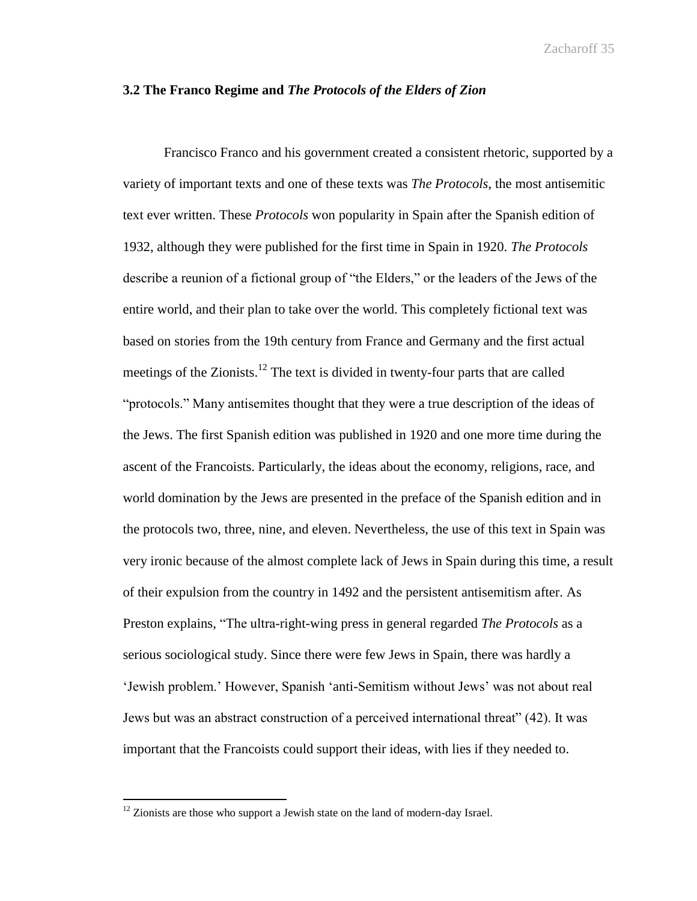## **3.2 The Franco Regime and** *The Protocols of the Elders of Zion*

Francisco Franco and his government created a consistent rhetoric, supported by a variety of important texts and one of these texts was *The Protocols*, the most antisemitic text ever written. These *Protocols* won popularity in Spain after the Spanish edition of 1932, although they were published for the first time in Spain in 1920. *The Protocols* describe a reunion of a fictional group of "the Elders," or the leaders of the Jews of the entire world, and their plan to take over the world. This completely fictional text was based on stories from the 19th century from France and Germany and the first actual meetings of the Zionists.<sup>12</sup> The text is divided in twenty-four parts that are called "protocols." Many antisemites thought that they were a true description of the ideas of the Jews. The first Spanish edition was published in 1920 and one more time during the ascent of the Francoists. Particularly, the ideas about the economy, religions, race, and world domination by the Jews are presented in the preface of the Spanish edition and in the protocols two, three, nine, and eleven. Nevertheless, the use of this text in Spain was very ironic because of the almost complete lack of Jews in Spain during this time, a result of their expulsion from the country in 1492 and the persistent antisemitism after. As Preston explains, "The ultra-right-wing press in general regarded *The Protocols* as a serious sociological study. Since there were few Jews in Spain, there was hardly a 'Jewish problem.' However, Spanish 'anti-Semitism without Jews' was not about real Jews but was an abstract construction of a perceived international threat" (42). It was important that the Francoists could support their ideas, with lies if they needed to.

 $\overline{a}$ 

 $12$  Zionists are those who support a Jewish state on the land of modern-day Israel.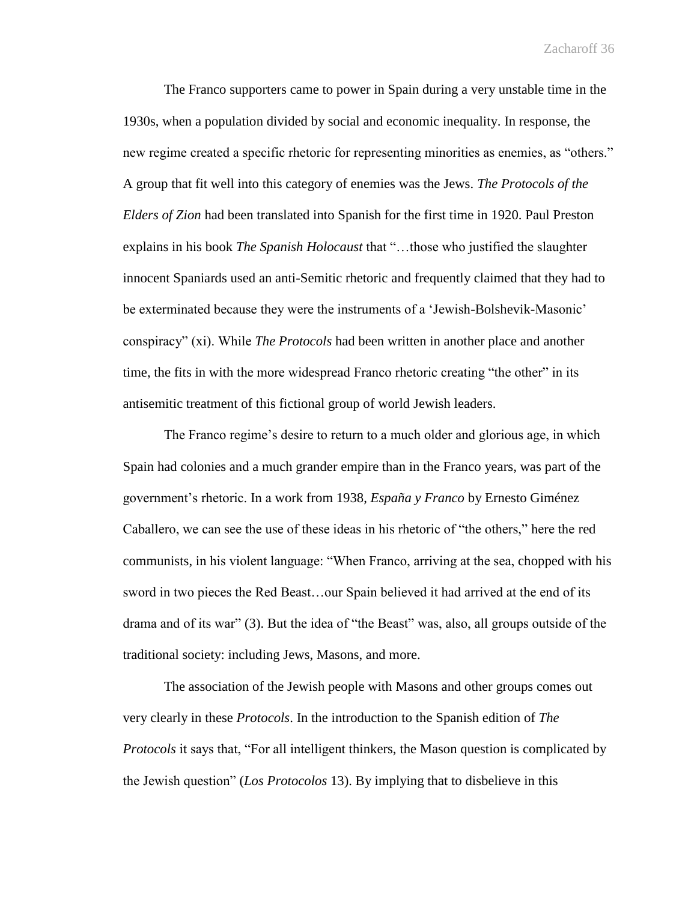The Franco supporters came to power in Spain during a very unstable time in the 1930s, when a population divided by social and economic inequality. In response, the new regime created a specific rhetoric for representing minorities as enemies, as "others." A group that fit well into this category of enemies was the Jews. *The Protocols of the Elders of Zion* had been translated into Spanish for the first time in 1920. Paul Preston explains in his book *The Spanish Holocaust* that "…those who justified the slaughter innocent Spaniards used an anti-Semitic rhetoric and frequently claimed that they had to be exterminated because they were the instruments of a 'Jewish-Bolshevik-Masonic' conspiracy" (xi). While *The Protocols* had been written in another place and another time, the fits in with the more widespread Franco rhetoric creating "the other" in its antisemitic treatment of this fictional group of world Jewish leaders.

The Franco regime's desire to return to a much older and glorious age, in which Spain had colonies and a much grander empire than in the Franco years, was part of the government's rhetoric. In a work from 1938, *España y Franco* by Ernesto Giménez Caballero, we can see the use of these ideas in his rhetoric of "the others," here the red communists, in his violent language: "When Franco, arriving at the sea, chopped with his sword in two pieces the Red Beast…our Spain believed it had arrived at the end of its drama and of its war" (3). But the idea of "the Beast" was, also, all groups outside of the traditional society: including Jews, Masons, and more.

The association of the Jewish people with Masons and other groups comes out very clearly in these *Protocols*. In the introduction to the Spanish edition of *The Protocols* it says that, "For all intelligent thinkers, the Mason question is complicated by the Jewish question" (*Los Protocolos* 13). By implying that to disbelieve in this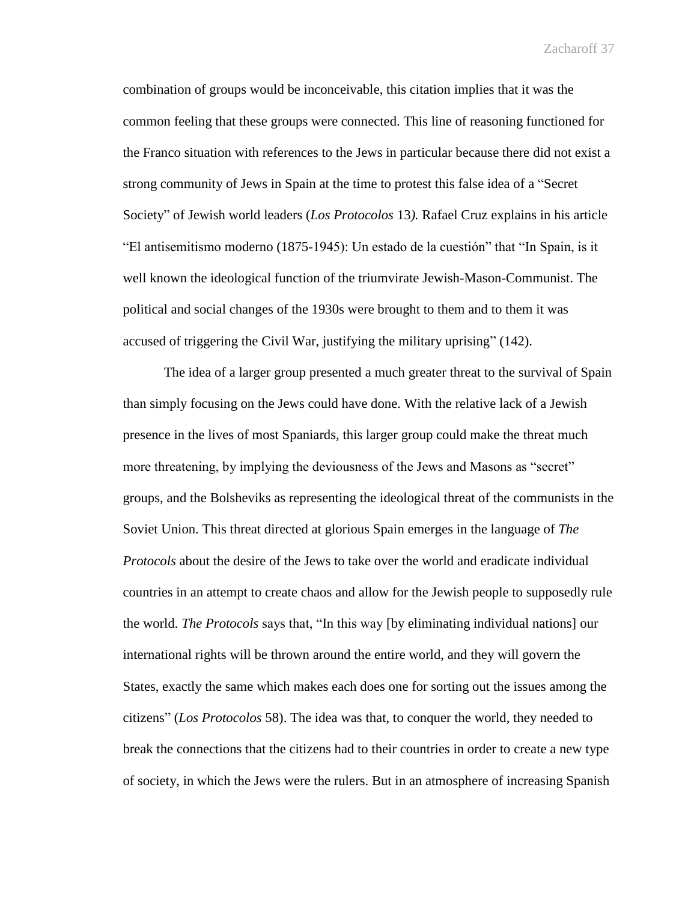combination of groups would be inconceivable, this citation implies that it was the common feeling that these groups were connected. This line of reasoning functioned for the Franco situation with references to the Jews in particular because there did not exist a strong community of Jews in Spain at the time to protest this false idea of a "Secret Society" of Jewish world leaders (*Los Protocolos* 13*).* Rafael Cruz explains in his article "El antisemitismo moderno (1875-1945): Un estado de la cuestión" that "In Spain, is it well known the ideological function of the triumvirate Jewish-Mason-Communist. The political and social changes of the 1930s were brought to them and to them it was accused of triggering the Civil War, justifying the military uprising" (142).

The idea of a larger group presented a much greater threat to the survival of Spain than simply focusing on the Jews could have done. With the relative lack of a Jewish presence in the lives of most Spaniards, this larger group could make the threat much more threatening, by implying the deviousness of the Jews and Masons as "secret" groups, and the Bolsheviks as representing the ideological threat of the communists in the Soviet Union. This threat directed at glorious Spain emerges in the language of *The Protocols* about the desire of the Jews to take over the world and eradicate individual countries in an attempt to create chaos and allow for the Jewish people to supposedly rule the world. *The Protocols* says that, "In this way [by eliminating individual nations] our international rights will be thrown around the entire world, and they will govern the States, exactly the same which makes each does one for sorting out the issues among the citizens" (*Los Protocolos* 58). The idea was that, to conquer the world, they needed to break the connections that the citizens had to their countries in order to create a new type of society, in which the Jews were the rulers. But in an atmosphere of increasing Spanish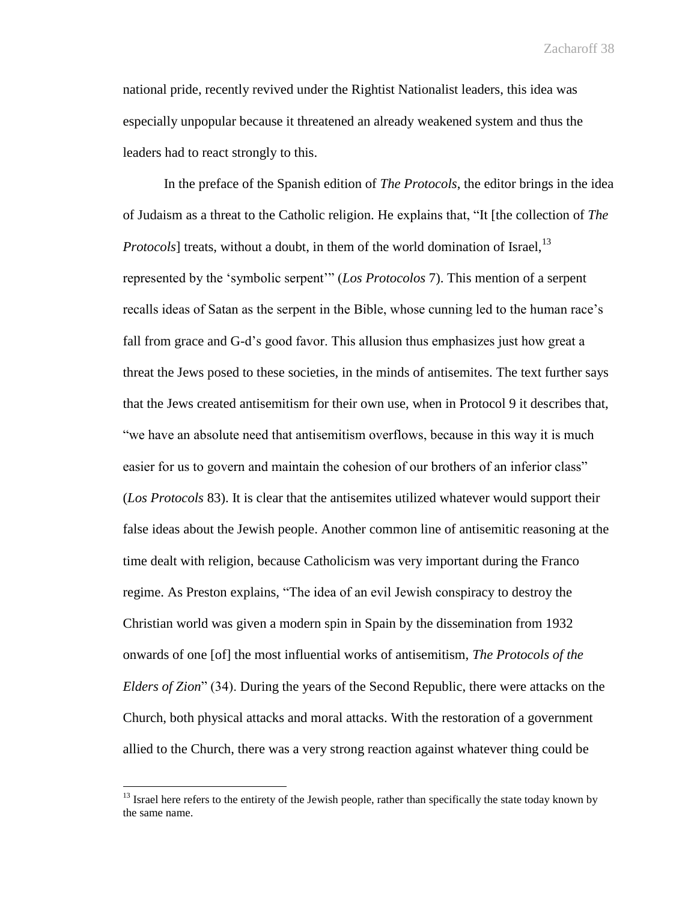national pride, recently revived under the Rightist Nationalist leaders, this idea was especially unpopular because it threatened an already weakened system and thus the leaders had to react strongly to this.

In the preface of the Spanish edition of *The Protocols*, the editor brings in the idea of Judaism as a threat to the Catholic religion. He explains that, "It [the collection of *The Protocols*] treats, without a doubt, in them of the world domination of Israel, <sup>13</sup> represented by the 'symbolic serpent'" (*Los Protocolos* 7). This mention of a serpent recalls ideas of Satan as the serpent in the Bible, whose cunning led to the human race's fall from grace and G-d's good favor. This allusion thus emphasizes just how great a threat the Jews posed to these societies, in the minds of antisemites. The text further says that the Jews created antisemitism for their own use, when in Protocol 9 it describes that, "we have an absolute need that antisemitism overflows, because in this way it is much easier for us to govern and maintain the cohesion of our brothers of an inferior class" (*Los Protocols* 83). It is clear that the antisemites utilized whatever would support their false ideas about the Jewish people. Another common line of antisemitic reasoning at the time dealt with religion, because Catholicism was very important during the Franco regime. As Preston explains, "The idea of an evil Jewish conspiracy to destroy the Christian world was given a modern spin in Spain by the dissemination from 1932 onwards of one [of] the most influential works of antisemitism, *The Protocols of the Elders of Zion*" (34). During the years of the Second Republic, there were attacks on the Church, both physical attacks and moral attacks. With the restoration of a government allied to the Church, there was a very strong reaction against whatever thing could be

 $\overline{a}$ 

<sup>&</sup>lt;sup>13</sup> Israel here refers to the entirety of the Jewish people, rather than specifically the state today known by the same name.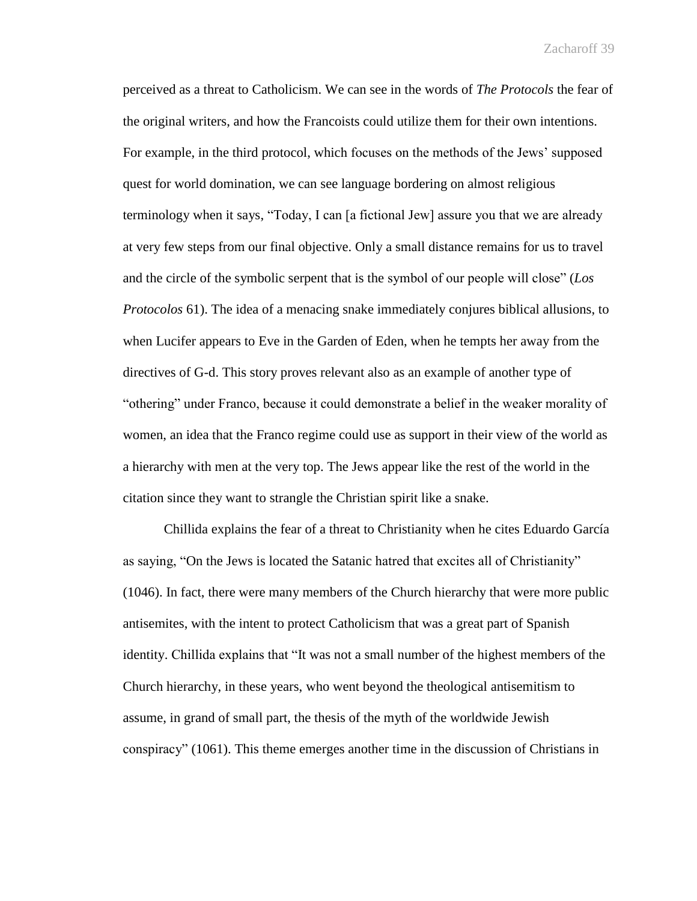perceived as a threat to Catholicism. We can see in the words of *The Protocols* the fear of the original writers, and how the Francoists could utilize them for their own intentions. For example, in the third protocol, which focuses on the methods of the Jews' supposed quest for world domination, we can see language bordering on almost religious terminology when it says, "Today, I can [a fictional Jew] assure you that we are already at very few steps from our final objective. Only a small distance remains for us to travel and the circle of the symbolic serpent that is the symbol of our people will close" (*Los Protocolos* 61). The idea of a menacing snake immediately conjures biblical allusions, to when Lucifer appears to Eve in the Garden of Eden, when he tempts her away from the directives of G-d. This story proves relevant also as an example of another type of "othering" under Franco, because it could demonstrate a belief in the weaker morality of women, an idea that the Franco regime could use as support in their view of the world as a hierarchy with men at the very top. The Jews appear like the rest of the world in the citation since they want to strangle the Christian spirit like a snake.

Chillida explains the fear of a threat to Christianity when he cites Eduardo García as saying, "On the Jews is located the Satanic hatred that excites all of Christianity" (1046). In fact, there were many members of the Church hierarchy that were more public antisemites, with the intent to protect Catholicism that was a great part of Spanish identity. Chillida explains that "It was not a small number of the highest members of the Church hierarchy, in these years, who went beyond the theological antisemitism to assume, in grand of small part, the thesis of the myth of the worldwide Jewish conspiracy" (1061). This theme emerges another time in the discussion of Christians in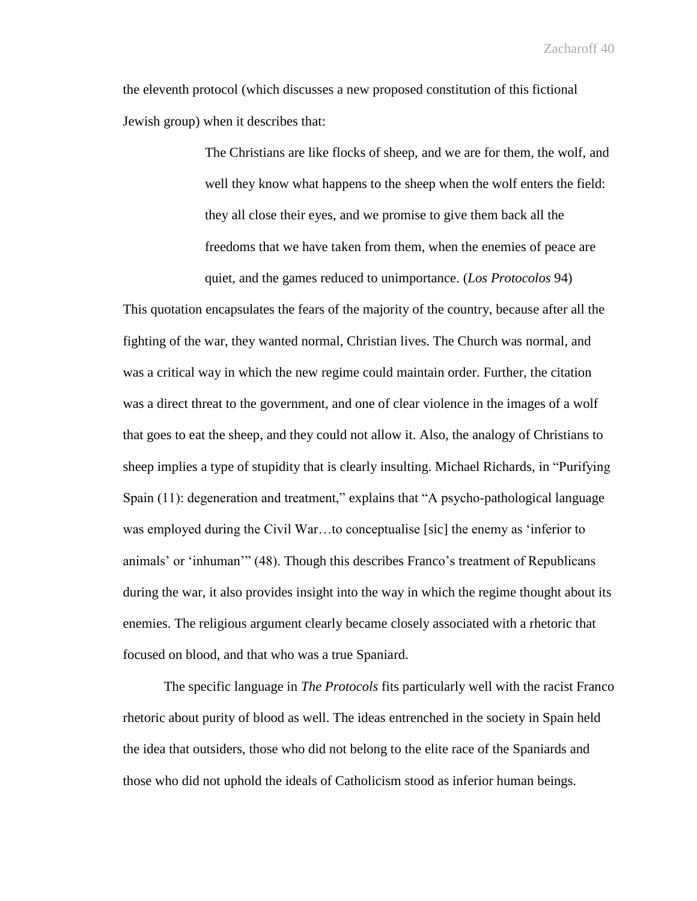the eleventh protocol (which discusses a new proposed constitution of this fictional Jewish group) when it describes that:

> The Christians are like flocks of sheep, and we are for them, the wolf, and well they know what happens to the sheep when the wolf enters the field: they all close their eyes, and we promise to give them back all the freedoms that we have taken from them, when the enemies of peace are quiet, and the games reduced to unimportance. (*Los Protocolos* 94)

This quotation encapsulates the fears of the majority of the country, because after all the fighting of the war, they wanted normal, Christian lives. The Church was normal, and was a critical way in which the new regime could maintain order. Further, the citation was a direct threat to the government, and one of clear violence in the images of a wolf that goes to eat the sheep, and they could not allow it. Also, the analogy of Christians to sheep implies a type of stupidity that is clearly insulting. Michael Richards, in "Purifying Spain (11): degeneration and treatment," explains that "A psycho-pathological language was employed during the Civil War…to conceptualise [sic] the enemy as 'inferior to animals' or 'inhuman'" (48). Though this describes Franco's treatment of Republicans during the war, it also provides insight into the way in which the regime thought about its enemies. The religious argument clearly became closely associated with a rhetoric that focused on blood, and that who was a true Spaniard.

The specific language in *The Protocols* fits particularly well with the racist Franco rhetoric about purity of blood as well. The ideas entrenched in the society in Spain held the idea that outsiders, those who did not belong to the elite race of the Spaniards and those who did not uphold the ideals of Catholicism stood as inferior human beings.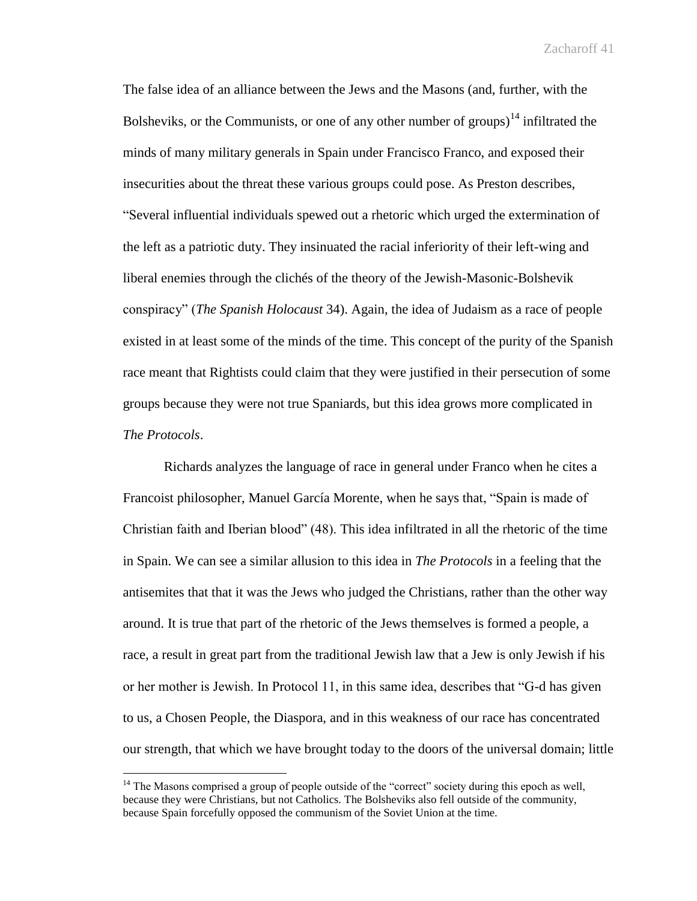The false idea of an alliance between the Jews and the Masons (and, further, with the Bolsheviks, or the Communists, or one of any other number of groups)<sup>14</sup> infiltrated the minds of many military generals in Spain under Francisco Franco, and exposed their insecurities about the threat these various groups could pose. As Preston describes, "Several influential individuals spewed out a rhetoric which urged the extermination of the left as a patriotic duty. They insinuated the racial inferiority of their left-wing and liberal enemies through the clichés of the theory of the Jewish-Masonic-Bolshevik conspiracy" (*The Spanish Holocaust* 34). Again, the idea of Judaism as a race of people existed in at least some of the minds of the time. This concept of the purity of the Spanish race meant that Rightists could claim that they were justified in their persecution of some groups because they were not true Spaniards, but this idea grows more complicated in *The Protocols*.

Richards analyzes the language of race in general under Franco when he cites a Francoist philosopher, Manuel García Morente, when he says that, "Spain is made of Christian faith and Iberian blood" (48). This idea infiltrated in all the rhetoric of the time in Spain. We can see a similar allusion to this idea in *The Protocols* in a feeling that the antisemites that that it was the Jews who judged the Christians, rather than the other way around. It is true that part of the rhetoric of the Jews themselves is formed a people, a race, a result in great part from the traditional Jewish law that a Jew is only Jewish if his or her mother is Jewish. In Protocol 11, in this same idea, describes that "G-d has given to us, a Chosen People, the Diaspora, and in this weakness of our race has concentrated our strength, that which we have brought today to the doors of the universal domain; little

 $\overline{a}$ 

 $<sup>14</sup>$  The Masons comprised a group of people outside of the "correct" society during this epoch as well,</sup> because they were Christians, but not Catholics. The Bolsheviks also fell outside of the community, because Spain forcefully opposed the communism of the Soviet Union at the time.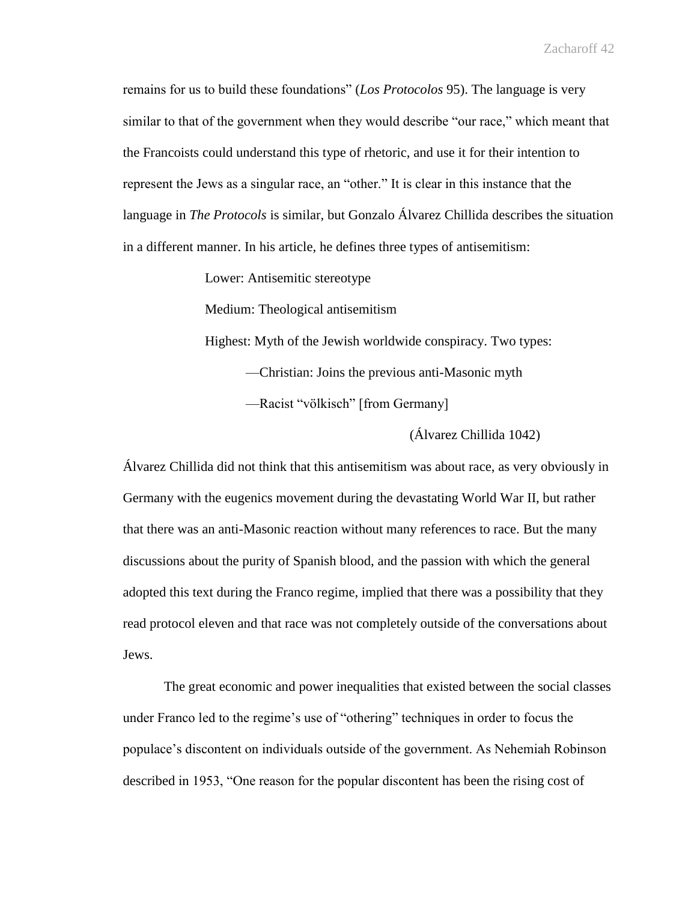remains for us to build these foundations" (*Los Protocolos* 95). The language is very similar to that of the government when they would describe "our race," which meant that the Francoists could understand this type of rhetoric, and use it for their intention to represent the Jews as a singular race, an "other." It is clear in this instance that the language in *The Protocols* is similar, but Gonzalo Álvarez Chillida describes the situation in a different manner. In his article, he defines three types of antisemitism:

Lower: Antisemitic stereotype

Medium: Theological antisemitism

Highest: Myth of the Jewish worldwide conspiracy. Two types:

—Christian: Joins the previous anti-Masonic myth

—Racist "völkisch" [from Germany]

(Álvarez Chillida 1042)

Álvarez Chillida did not think that this antisemitism was about race, as very obviously in Germany with the eugenics movement during the devastating World War II, but rather that there was an anti-Masonic reaction without many references to race. But the many discussions about the purity of Spanish blood, and the passion with which the general adopted this text during the Franco regime, implied that there was a possibility that they read protocol eleven and that race was not completely outside of the conversations about Jews.

The great economic and power inequalities that existed between the social classes under Franco led to the regime's use of "othering" techniques in order to focus the populace's discontent on individuals outside of the government. As Nehemiah Robinson described in 1953, "One reason for the popular discontent has been the rising cost of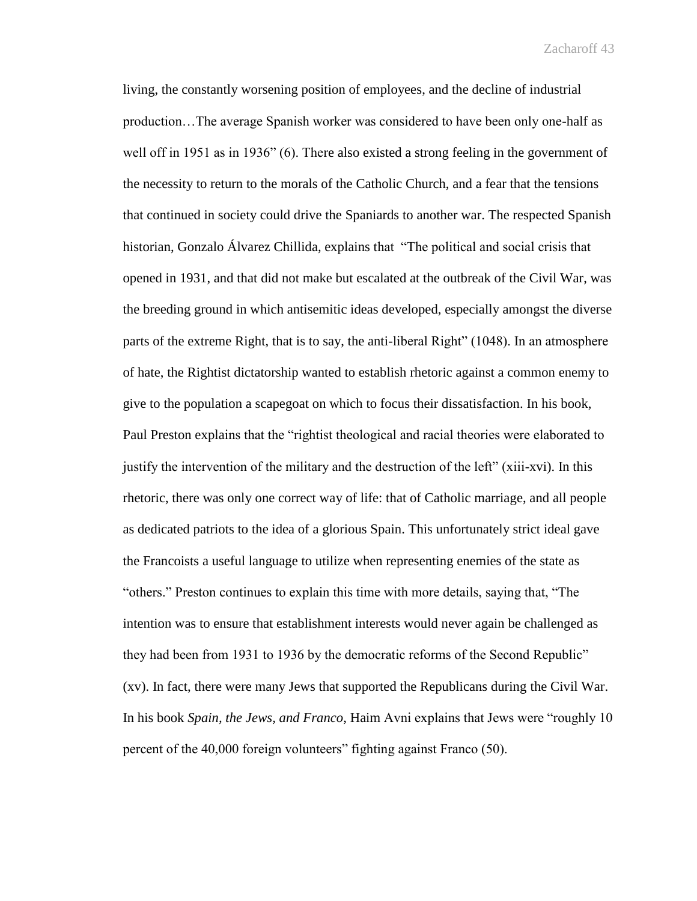living, the constantly worsening position of employees, and the decline of industrial production…The average Spanish worker was considered to have been only one-half as well off in 1951 as in 1936" (6). There also existed a strong feeling in the government of the necessity to return to the morals of the Catholic Church, and a fear that the tensions that continued in society could drive the Spaniards to another war. The respected Spanish historian, Gonzalo Álvarez Chillida, explains that "The political and social crisis that opened in 1931, and that did not make but escalated at the outbreak of the Civil War, was the breeding ground in which antisemitic ideas developed, especially amongst the diverse parts of the extreme Right, that is to say, the anti-liberal Right" (1048). In an atmosphere of hate, the Rightist dictatorship wanted to establish rhetoric against a common enemy to give to the population a scapegoat on which to focus their dissatisfaction. In his book, Paul Preston explains that the "rightist theological and racial theories were elaborated to justify the intervention of the military and the destruction of the left" (xiii-xvi). In this rhetoric, there was only one correct way of life: that of Catholic marriage, and all people as dedicated patriots to the idea of a glorious Spain. This unfortunately strict ideal gave the Francoists a useful language to utilize when representing enemies of the state as "others." Preston continues to explain this time with more details, saying that, "The intention was to ensure that establishment interests would never again be challenged as they had been from 1931 to 1936 by the democratic reforms of the Second Republic" (xv). In fact, there were many Jews that supported the Republicans during the Civil War. In his book *Spain, the Jews, and Franco*, Haim Avni explains that Jews were "roughly 10 percent of the 40,000 foreign volunteers" fighting against Franco (50).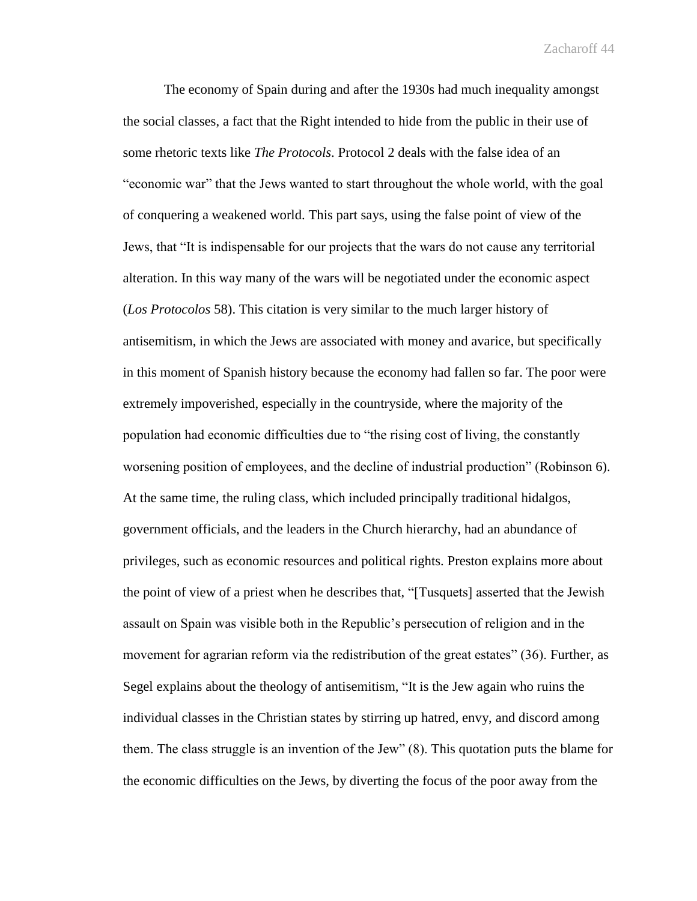The economy of Spain during and after the 1930s had much inequality amongst the social classes, a fact that the Right intended to hide from the public in their use of some rhetoric texts like *The Protocols*. Protocol 2 deals with the false idea of an "economic war" that the Jews wanted to start throughout the whole world, with the goal of conquering a weakened world. This part says, using the false point of view of the Jews, that "It is indispensable for our projects that the wars do not cause any territorial alteration. In this way many of the wars will be negotiated under the economic aspect (*Los Protocolos* 58). This citation is very similar to the much larger history of antisemitism, in which the Jews are associated with money and avarice, but specifically in this moment of Spanish history because the economy had fallen so far. The poor were extremely impoverished, especially in the countryside, where the majority of the population had economic difficulties due to "the rising cost of living, the constantly worsening position of employees, and the decline of industrial production" (Robinson 6). At the same time, the ruling class, which included principally traditional hidalgos, government officials, and the leaders in the Church hierarchy, had an abundance of privileges, such as economic resources and political rights. Preston explains more about the point of view of a priest when he describes that, "[Tusquets] asserted that the Jewish assault on Spain was visible both in the Republic's persecution of religion and in the movement for agrarian reform via the redistribution of the great estates" (36). Further, as Segel explains about the theology of antisemitism, "It is the Jew again who ruins the individual classes in the Christian states by stirring up hatred, envy, and discord among them. The class struggle is an invention of the Jew" (8). This quotation puts the blame for the economic difficulties on the Jews, by diverting the focus of the poor away from the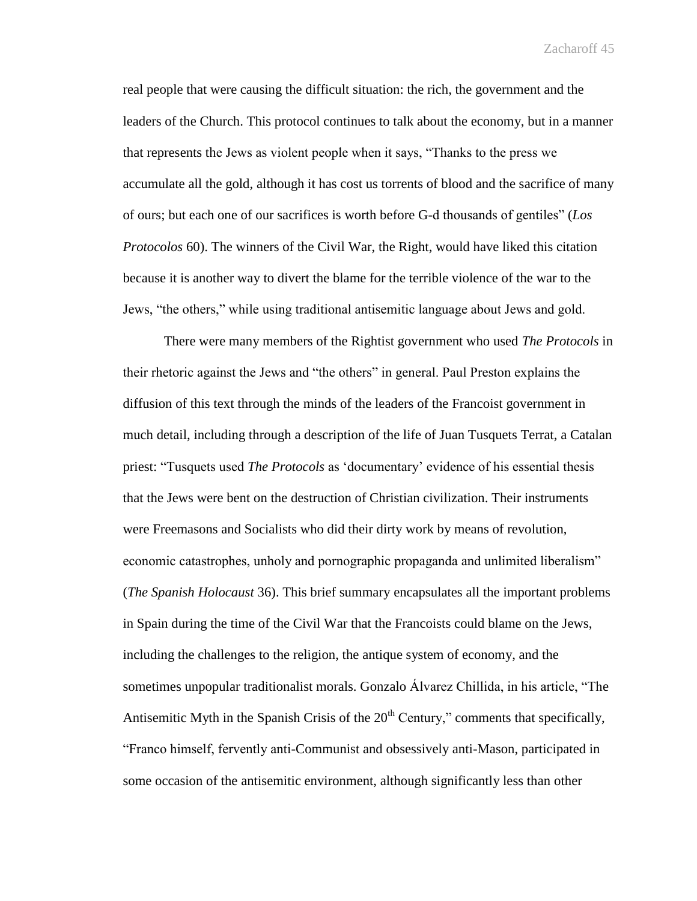real people that were causing the difficult situation: the rich, the government and the leaders of the Church. This protocol continues to talk about the economy, but in a manner that represents the Jews as violent people when it says, "Thanks to the press we accumulate all the gold, although it has cost us torrents of blood and the sacrifice of many of ours; but each one of our sacrifices is worth before G-d thousands of gentiles" (*Los Protocolos* 60). The winners of the Civil War, the Right, would have liked this citation because it is another way to divert the blame for the terrible violence of the war to the Jews, "the others," while using traditional antisemitic language about Jews and gold.

 There were many members of the Rightist government who used *The Protocols* in their rhetoric against the Jews and "the others" in general. Paul Preston explains the diffusion of this text through the minds of the leaders of the Francoist government in much detail, including through a description of the life of Juan Tusquets Terrat, a Catalan priest: "Tusquets used *The Protocols* as 'documentary' evidence of his essential thesis that the Jews were bent on the destruction of Christian civilization. Their instruments were Freemasons and Socialists who did their dirty work by means of revolution, economic catastrophes, unholy and pornographic propaganda and unlimited liberalism" (*The Spanish Holocaust* 36). This brief summary encapsulates all the important problems in Spain during the time of the Civil War that the Francoists could blame on the Jews, including the challenges to the religion, the antique system of economy, and the sometimes unpopular traditionalist morals. Gonzalo Álvarez Chillida, in his article, "The Antisemitic Myth in the Spanish Crisis of the  $20<sup>th</sup>$  Century," comments that specifically, "Franco himself, fervently anti-Communist and obsessively anti-Mason, participated in some occasion of the antisemitic environment, although significantly less than other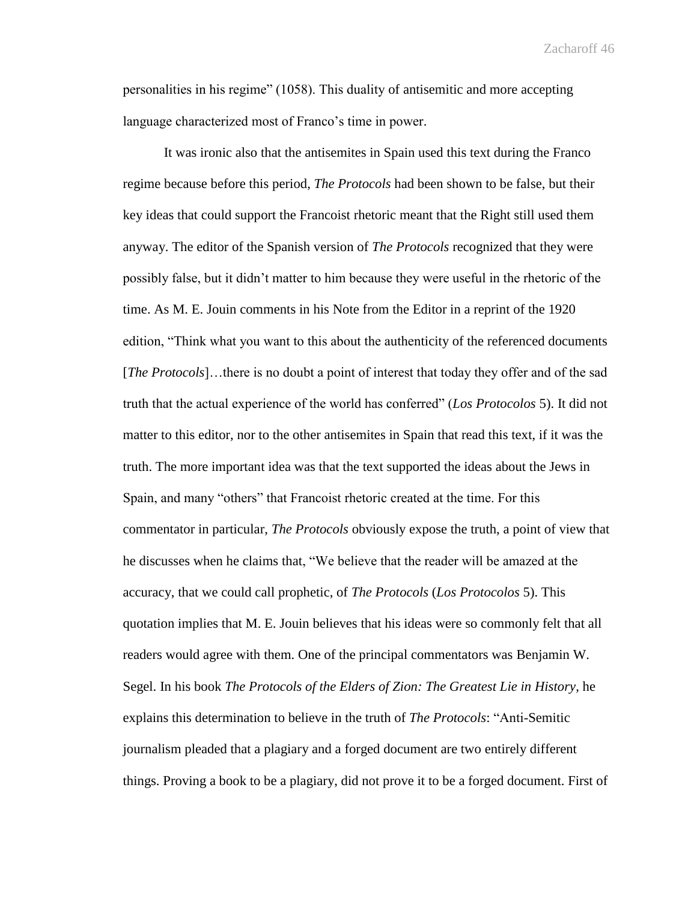personalities in his regime" (1058). This duality of antisemitic and more accepting language characterized most of Franco's time in power.

It was ironic also that the antisemites in Spain used this text during the Franco regime because before this period, *The Protocols* had been shown to be false, but their key ideas that could support the Francoist rhetoric meant that the Right still used them anyway. The editor of the Spanish version of *The Protocols* recognized that they were possibly false, but it didn't matter to him because they were useful in the rhetoric of the time. As M. E. Jouin comments in his Note from the Editor in a reprint of the 1920 edition, "Think what you want to this about the authenticity of the referenced documents [*The Protocols*]…there is no doubt a point of interest that today they offer and of the sad truth that the actual experience of the world has conferred" (*Los Protocolos* 5). It did not matter to this editor, nor to the other antisemites in Spain that read this text, if it was the truth. The more important idea was that the text supported the ideas about the Jews in Spain, and many "others" that Francoist rhetoric created at the time. For this commentator in particular, *The Protocols* obviously expose the truth, a point of view that he discusses when he claims that, "We believe that the reader will be amazed at the accuracy, that we could call prophetic, of *The Protocols* (*Los Protocolos* 5). This quotation implies that M. E. Jouin believes that his ideas were so commonly felt that all readers would agree with them. One of the principal commentators was Benjamin W. Segel. In his book *The Protocols of the Elders of Zion: The Greatest Lie in History*, he explains this determination to believe in the truth of *The Protocols*: "Anti-Semitic journalism pleaded that a plagiary and a forged document are two entirely different things. Proving a book to be a plagiary, did not prove it to be a forged document. First of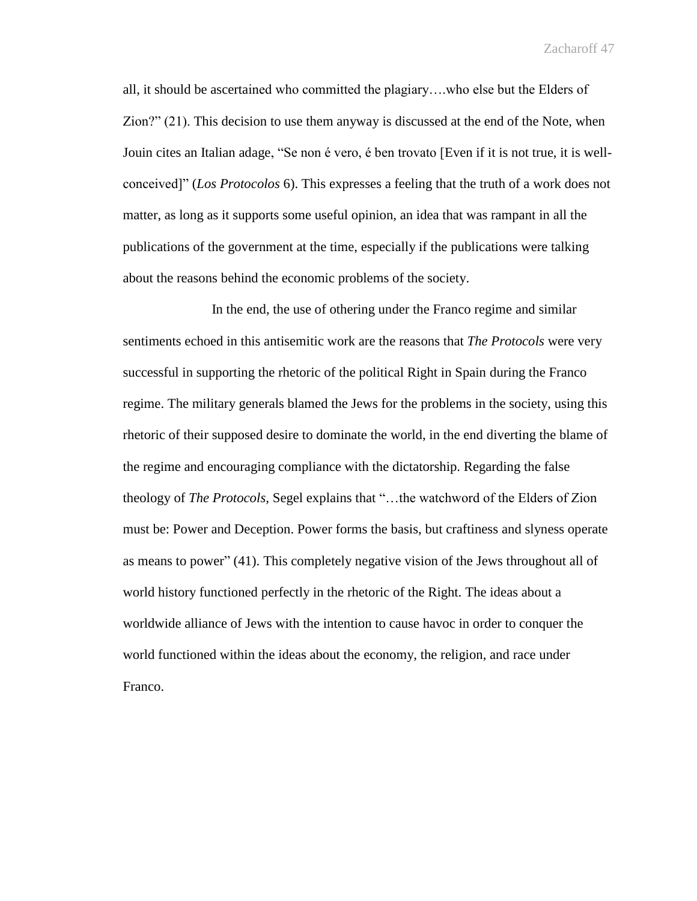all, it should be ascertained who committed the plagiary….who else but the Elders of Zion?" (21). This decision to use them anyway is discussed at the end of the Note, when Jouin cites an Italian adage, "Se non é vero, é ben trovato [Even if it is not true, it is wellconceived]" (*Los Protocolos* 6). This expresses a feeling that the truth of a work does not matter, as long as it supports some useful opinion, an idea that was rampant in all the publications of the government at the time, especially if the publications were talking about the reasons behind the economic problems of the society.

In the end, the use of othering under the Franco regime and similar sentiments echoed in this antisemitic work are the reasons that *The Protocols* were very successful in supporting the rhetoric of the political Right in Spain during the Franco regime. The military generals blamed the Jews for the problems in the society, using this rhetoric of their supposed desire to dominate the world, in the end diverting the blame of the regime and encouraging compliance with the dictatorship. Regarding the false theology of *The Protocols,* Segel explains that "…the watchword of the Elders of Zion must be: Power and Deception. Power forms the basis, but craftiness and slyness operate as means to power" (41). This completely negative vision of the Jews throughout all of world history functioned perfectly in the rhetoric of the Right. The ideas about a worldwide alliance of Jews with the intention to cause havoc in order to conquer the world functioned within the ideas about the economy, the religion, and race under Franco.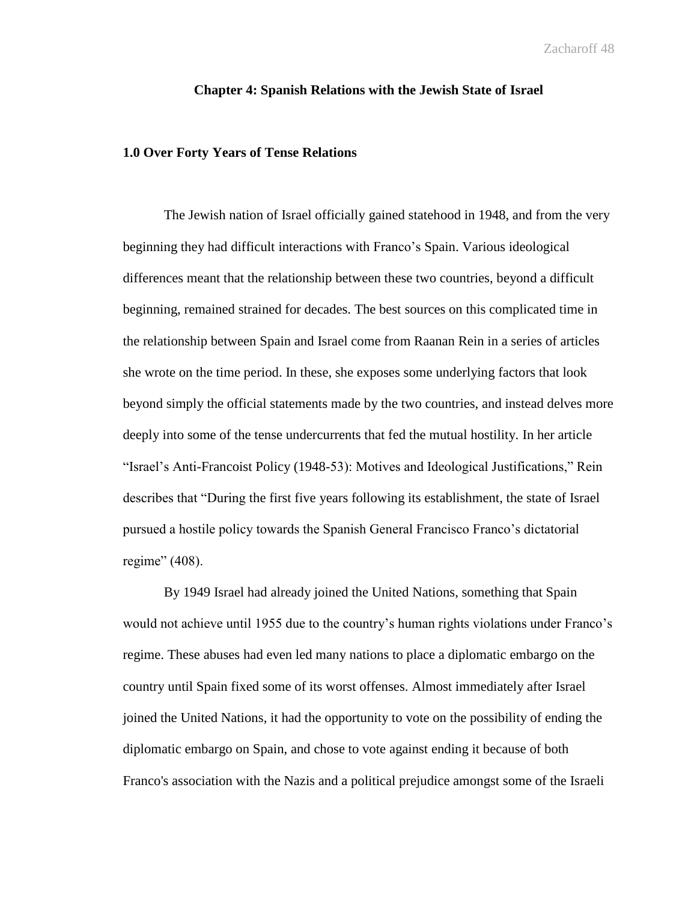## **Chapter 4: Spanish Relations with the Jewish State of Israel**

## **1.0 Over Forty Years of Tense Relations**

The Jewish nation of Israel officially gained statehood in 1948, and from the very beginning they had difficult interactions with Franco's Spain. Various ideological differences meant that the relationship between these two countries, beyond a difficult beginning, remained strained for decades. The best sources on this complicated time in the relationship between Spain and Israel come from Raanan Rein in a series of articles she wrote on the time period. In these, she exposes some underlying factors that look beyond simply the official statements made by the two countries, and instead delves more deeply into some of the tense undercurrents that fed the mutual hostility. In her article "Israel's Anti-Francoist Policy (1948-53): Motives and Ideological Justifications," Rein describes that "During the first five years following its establishment, the state of Israel pursued a hostile policy towards the Spanish General Francisco Franco's dictatorial regime" (408).

By 1949 Israel had already joined the United Nations, something that Spain would not achieve until 1955 due to the country's human rights violations under Franco's regime. These abuses had even led many nations to place a diplomatic embargo on the country until Spain fixed some of its worst offenses. Almost immediately after Israel joined the United Nations, it had the opportunity to vote on the possibility of ending the diplomatic embargo on Spain, and chose to vote against ending it because of both Franco's association with the Nazis and a political prejudice amongst some of the Israeli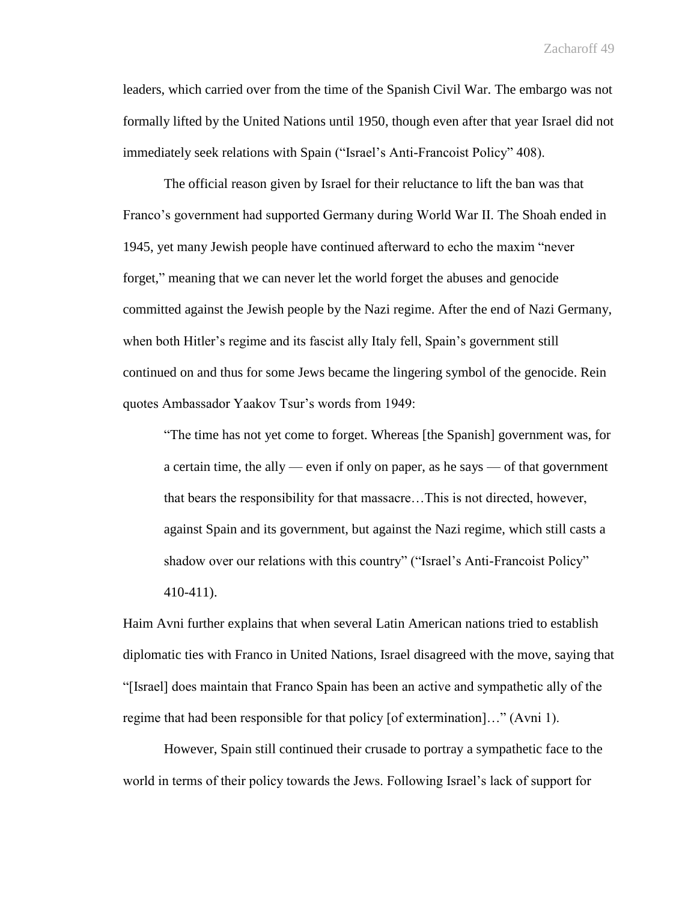leaders, which carried over from the time of the Spanish Civil War. The embargo was not formally lifted by the United Nations until 1950, though even after that year Israel did not immediately seek relations with Spain ("Israel's Anti-Francoist Policy" 408).

The official reason given by Israel for their reluctance to lift the ban was that Franco's government had supported Germany during World War II. The Shoah ended in 1945, yet many Jewish people have continued afterward to echo the maxim "never forget," meaning that we can never let the world forget the abuses and genocide committed against the Jewish people by the Nazi regime. After the end of Nazi Germany, when both Hitler's regime and its fascist ally Italy fell, Spain's government still continued on and thus for some Jews became the lingering symbol of the genocide. Rein quotes Ambassador Yaakov Tsur's words from 1949:

"The time has not yet come to forget. Whereas [the Spanish] government was, for a certain time, the ally — even if only on paper, as he says — of that government that bears the responsibility for that massacre…This is not directed, however, against Spain and its government, but against the Nazi regime, which still casts a shadow over our relations with this country" ("Israel's Anti-Francoist Policy" 410-411).

Haim Avni further explains that when several Latin American nations tried to establish diplomatic ties with Franco in United Nations, Israel disagreed with the move, saying that "[Israel] does maintain that Franco Spain has been an active and sympathetic ally of the regime that had been responsible for that policy [of extermination]…" (Avni 1).

However, Spain still continued their crusade to portray a sympathetic face to the world in terms of their policy towards the Jews. Following Israel's lack of support for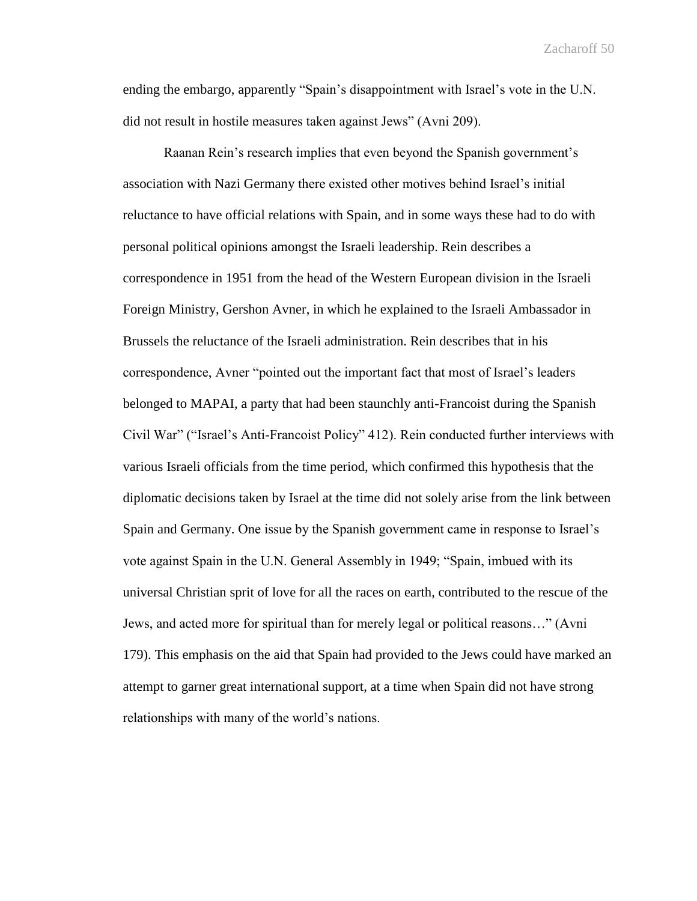ending the embargo, apparently "Spain's disappointment with Israel's vote in the U.N. did not result in hostile measures taken against Jews" (Avni 209).

Raanan Rein's research implies that even beyond the Spanish government's association with Nazi Germany there existed other motives behind Israel's initial reluctance to have official relations with Spain, and in some ways these had to do with personal political opinions amongst the Israeli leadership. Rein describes a correspondence in 1951 from the head of the Western European division in the Israeli Foreign Ministry, Gershon Avner, in which he explained to the Israeli Ambassador in Brussels the reluctance of the Israeli administration. Rein describes that in his correspondence, Avner "pointed out the important fact that most of Israel's leaders belonged to MAPAI, a party that had been staunchly anti-Francoist during the Spanish Civil War" ("Israel's Anti-Francoist Policy" 412). Rein conducted further interviews with various Israeli officials from the time period, which confirmed this hypothesis that the diplomatic decisions taken by Israel at the time did not solely arise from the link between Spain and Germany. One issue by the Spanish government came in response to Israel's vote against Spain in the U.N. General Assembly in 1949; "Spain, imbued with its universal Christian sprit of love for all the races on earth, contributed to the rescue of the Jews, and acted more for spiritual than for merely legal or political reasons…" (Avni 179). This emphasis on the aid that Spain had provided to the Jews could have marked an attempt to garner great international support, at a time when Spain did not have strong relationships with many of the world's nations.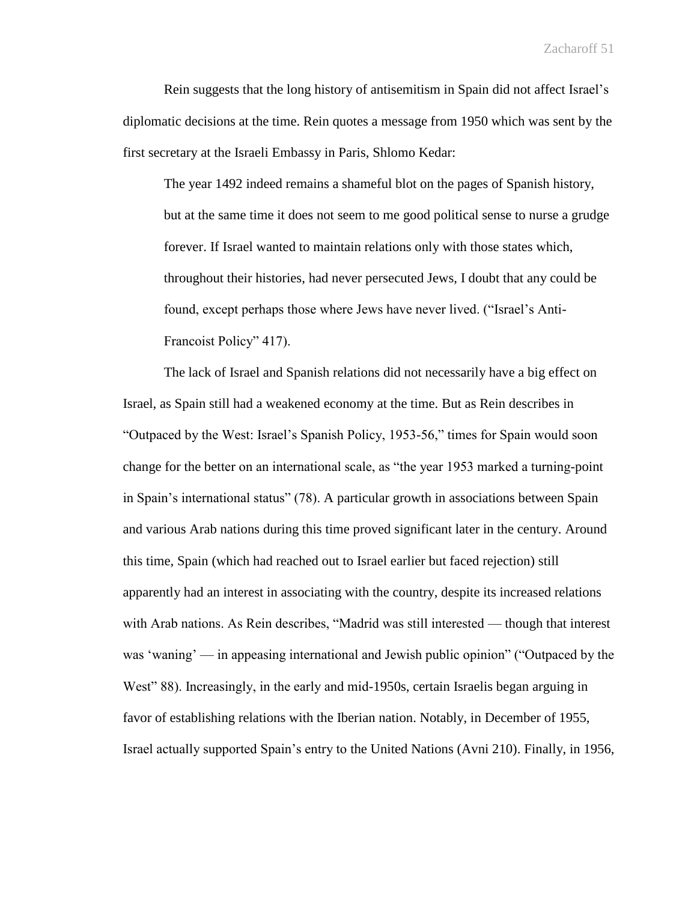Rein suggests that the long history of antisemitism in Spain did not affect Israel's diplomatic decisions at the time. Rein quotes a message from 1950 which was sent by the first secretary at the Israeli Embassy in Paris, Shlomo Kedar:

The year 1492 indeed remains a shameful blot on the pages of Spanish history, but at the same time it does not seem to me good political sense to nurse a grudge forever. If Israel wanted to maintain relations only with those states which, throughout their histories, had never persecuted Jews, I doubt that any could be found, except perhaps those where Jews have never lived. ("Israel's Anti-Francoist Policy" 417).

The lack of Israel and Spanish relations did not necessarily have a big effect on Israel, as Spain still had a weakened economy at the time. But as Rein describes in "Outpaced by the West: Israel's Spanish Policy, 1953-56," times for Spain would soon change for the better on an international scale, as "the year 1953 marked a turning-point in Spain's international status" (78). A particular growth in associations between Spain and various Arab nations during this time proved significant later in the century. Around this time, Spain (which had reached out to Israel earlier but faced rejection) still apparently had an interest in associating with the country, despite its increased relations with Arab nations. As Rein describes, "Madrid was still interested — though that interest was 'waning' — in appeasing international and Jewish public opinion" ("Outpaced by the West" 88). Increasingly, in the early and mid-1950s, certain Israelis began arguing in favor of establishing relations with the Iberian nation. Notably, in December of 1955, Israel actually supported Spain's entry to the United Nations (Avni 210). Finally, in 1956,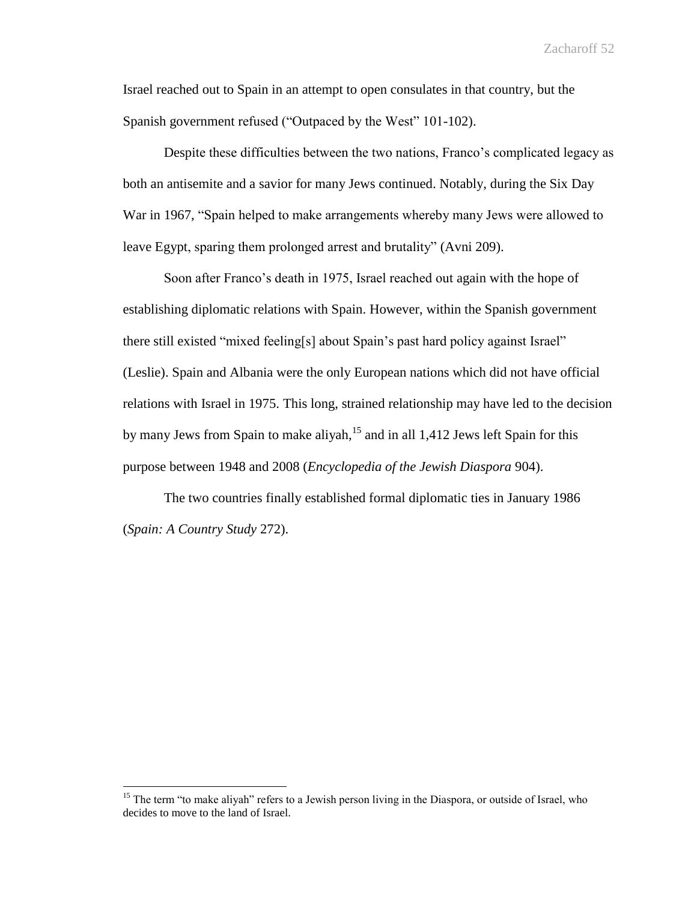Israel reached out to Spain in an attempt to open consulates in that country, but the Spanish government refused ("Outpaced by the West" 101-102).

Despite these difficulties between the two nations, Franco's complicated legacy as both an antisemite and a savior for many Jews continued. Notably, during the Six Day War in 1967, "Spain helped to make arrangements whereby many Jews were allowed to leave Egypt, sparing them prolonged arrest and brutality" (Avni 209).

Soon after Franco's death in 1975, Israel reached out again with the hope of establishing diplomatic relations with Spain. However, within the Spanish government there still existed "mixed feeling[s] about Spain's past hard policy against Israel" (Leslie). Spain and Albania were the only European nations which did not have official relations with Israel in 1975. This long, strained relationship may have led to the decision by many Jews from Spain to make aliyah,  $15$  and in all 1,412 Jews left Spain for this purpose between 1948 and 2008 (*Encyclopedia of the Jewish Diaspora* 904).

The two countries finally established formal diplomatic ties in January 1986 (*Spain: A Country Study* 272).

 $\overline{a}$ 

<sup>&</sup>lt;sup>15</sup> The term "to make aliyah" refers to a Jewish person living in the Diaspora, or outside of Israel, who decides to move to the land of Israel.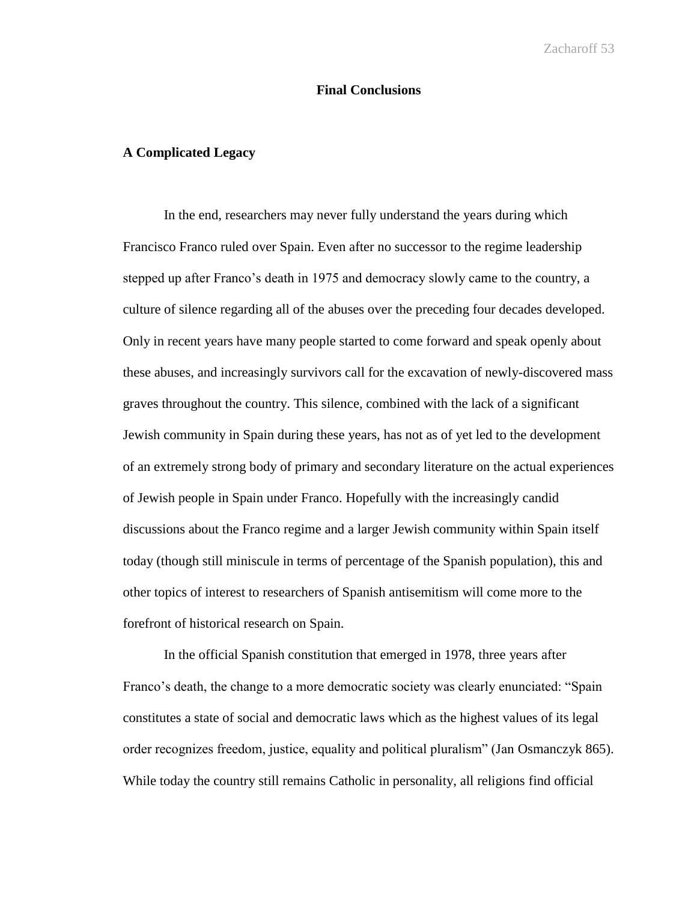## **Final Conclusions**

## **A Complicated Legacy**

In the end, researchers may never fully understand the years during which Francisco Franco ruled over Spain. Even after no successor to the regime leadership stepped up after Franco's death in 1975 and democracy slowly came to the country, a culture of silence regarding all of the abuses over the preceding four decades developed. Only in recent years have many people started to come forward and speak openly about these abuses, and increasingly survivors call for the excavation of newly-discovered mass graves throughout the country. This silence, combined with the lack of a significant Jewish community in Spain during these years, has not as of yet led to the development of an extremely strong body of primary and secondary literature on the actual experiences of Jewish people in Spain under Franco. Hopefully with the increasingly candid discussions about the Franco regime and a larger Jewish community within Spain itself today (though still miniscule in terms of percentage of the Spanish population), this and other topics of interest to researchers of Spanish antisemitism will come more to the forefront of historical research on Spain.

In the official Spanish constitution that emerged in 1978, three years after Franco's death, the change to a more democratic society was clearly enunciated: "Spain constitutes a state of social and democratic laws which as the highest values of its legal order recognizes freedom, justice, equality and political pluralism" (Jan Osmanczyk 865). While today the country still remains Catholic in personality, all religions find official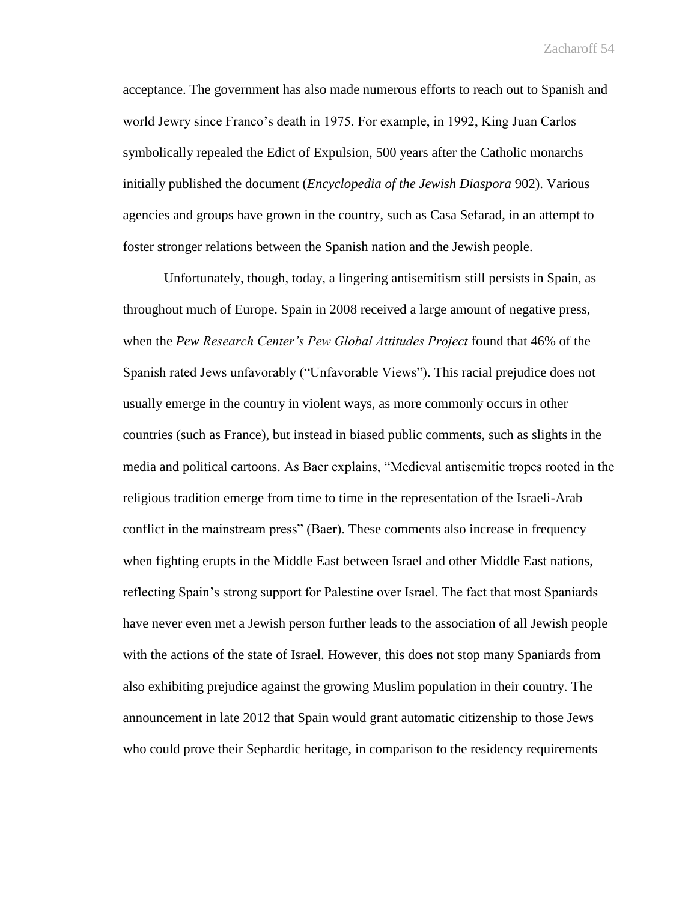acceptance. The government has also made numerous efforts to reach out to Spanish and world Jewry since Franco's death in 1975. For example, in 1992, King Juan Carlos symbolically repealed the Edict of Expulsion, 500 years after the Catholic monarchs initially published the document (*Encyclopedia of the Jewish Diaspora* 902). Various agencies and groups have grown in the country, such as Casa Sefarad, in an attempt to foster stronger relations between the Spanish nation and the Jewish people.

Unfortunately, though, today, a lingering antisemitism still persists in Spain, as throughout much of Europe. Spain in 2008 received a large amount of negative press, when the *Pew Research Center's Pew Global Attitudes Project* found that 46% of the Spanish rated Jews unfavorably ("Unfavorable Views"). This racial prejudice does not usually emerge in the country in violent ways, as more commonly occurs in other countries (such as France), but instead in biased public comments, such as slights in the media and political cartoons. As Baer explains, "Medieval antisemitic tropes rooted in the religious tradition emerge from time to time in the representation of the Israeli-Arab conflict in the mainstream press" (Baer). These comments also increase in frequency when fighting erupts in the Middle East between Israel and other Middle East nations, reflecting Spain's strong support for Palestine over Israel. The fact that most Spaniards have never even met a Jewish person further leads to the association of all Jewish people with the actions of the state of Israel. However, this does not stop many Spaniards from also exhibiting prejudice against the growing Muslim population in their country. The announcement in late 2012 that Spain would grant automatic citizenship to those Jews who could prove their Sephardic heritage, in comparison to the residency requirements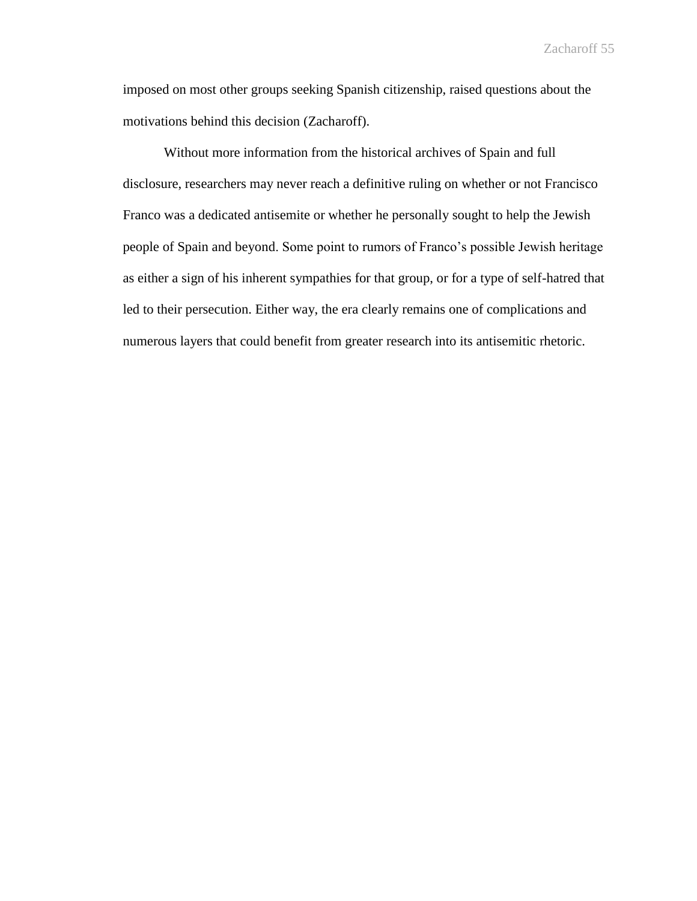imposed on most other groups seeking Spanish citizenship, raised questions about the motivations behind this decision (Zacharoff).

Without more information from the historical archives of Spain and full disclosure, researchers may never reach a definitive ruling on whether or not Francisco Franco was a dedicated antisemite or whether he personally sought to help the Jewish people of Spain and beyond. Some point to rumors of Franco's possible Jewish heritage as either a sign of his inherent sympathies for that group, or for a type of self-hatred that led to their persecution. Either way, the era clearly remains one of complications and numerous layers that could benefit from greater research into its antisemitic rhetoric.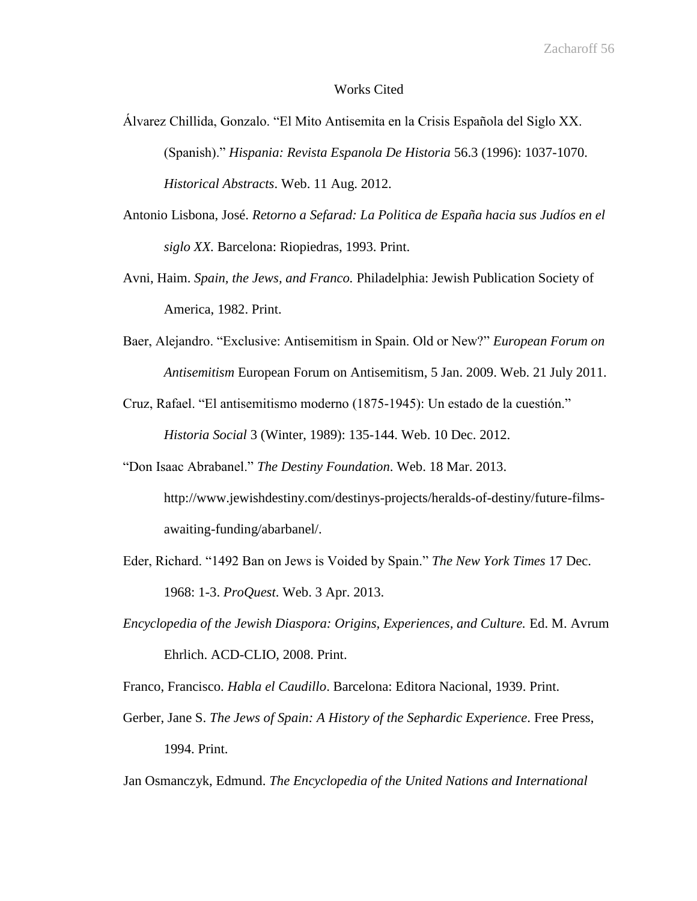#### Works Cited

- Álvarez Chillida, Gonzalo. "El Mito Antisemita en la Crisis Española del Siglo XX. (Spanish)." *Hispania: Revista Espanola De Historia* 56.3 (1996): 1037-1070. *Historical Abstracts*. Web. 11 Aug. 2012.
- Antonio Lisbona, José. *Retorno a Sefarad: La Politica de España hacia sus Judíos en el siglo XX.* Barcelona: Riopiedras, 1993. Print.
- Avni, Haim. *Spain, the Jews, and Franco.* Philadelphia: Jewish Publication Society of America, 1982. Print.
- Baer, Alejandro. "Exclusive: Antisemitism in Spain. Old or New?" *European Forum on Antisemitism* European Forum on Antisemitism, 5 Jan. 2009. Web. 21 July 2011.
- Cruz, Rafael. "El antisemitismo moderno (1875-1945): Un estado de la cuestión." *Historia Social* 3 (Winter, 1989): 135-144. Web. 10 Dec. 2012.
- "Don Isaac Abrabanel." *The Destiny Foundation*. Web. 18 Mar. 2013. http://www.jewishdestiny.com/destinys-projects/heralds-of-destiny/future-filmsawaiting-funding/abarbanel/.
- Eder, Richard. "1492 Ban on Jews is Voided by Spain." *The New York Times* 17 Dec. 1968: 1-3. *ProQuest*. Web. 3 Apr. 2013.
- *Encyclopedia of the Jewish Diaspora: Origins, Experiences, and Culture.* Ed. M. Avrum Ehrlich. ACD-CLIO, 2008. Print.

Franco, Francisco. *Habla el Caudillo*. Barcelona: Editora Nacional, 1939. Print.

Gerber, Jane S. *The Jews of Spain: A History of the Sephardic Experience*. Free Press, 1994. Print.

Jan Osmanczyk, Edmund. *The Encyclopedia of the United Nations and International*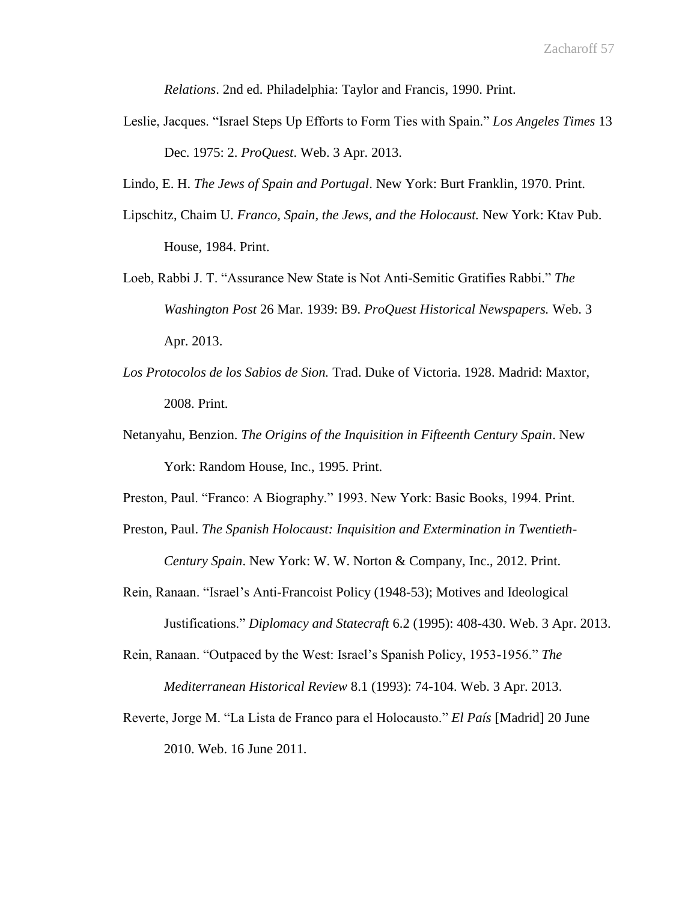*Relations*. 2nd ed. Philadelphia: Taylor and Francis, 1990. Print.

- Leslie, Jacques. "Israel Steps Up Efforts to Form Ties with Spain." *Los Angeles Times* 13 Dec. 1975: 2. *ProQuest*. Web. 3 Apr. 2013.
- Lindo, E. H. *The Jews of Spain and Portugal*. New York: Burt Franklin, 1970. Print.
- Lipschitz, Chaim U. *Franco, Spain, the Jews, and the Holocaust.* New York: Ktav Pub. House, 1984. Print.
- Loeb, Rabbi J. T. "Assurance New State is Not Anti-Semitic Gratifies Rabbi." *The Washington Post* 26 Mar. 1939: B9. *ProQuest Historical Newspapers.* Web. 3 Apr. 2013.
- *Los Protocolos de los Sabios de Sion.* Trad. Duke of Victoria. 1928. Madrid: Maxtor, 2008. Print.
- Netanyahu, Benzion. *The Origins of the Inquisition in Fifteenth Century Spain*. New York: Random House, Inc., 1995. Print.
- Preston, Paul. "Franco: A Biography." 1993. New York: Basic Books, 1994. Print.
- Preston, Paul. *The Spanish Holocaust: Inquisition and Extermination in Twentieth-Century Spain*. New York: W. W. Norton & Company, Inc., 2012. Print.
- Rein, Ranaan. "Israel's Anti-Francoist Policy (1948-53); Motives and Ideological Justifications." *Diplomacy and Statecraft* 6.2 (1995): 408-430. Web. 3 Apr. 2013.
- Rein, Ranaan. "Outpaced by the West: Israel's Spanish Policy, 1953-1956." *The Mediterranean Historical Review* 8.1 (1993): 74-104. Web. 3 Apr. 2013.
- Reverte, Jorge M. "La Lista de Franco para el Holocausto." *El País* [Madrid] 20 June 2010. Web. 16 June 2011.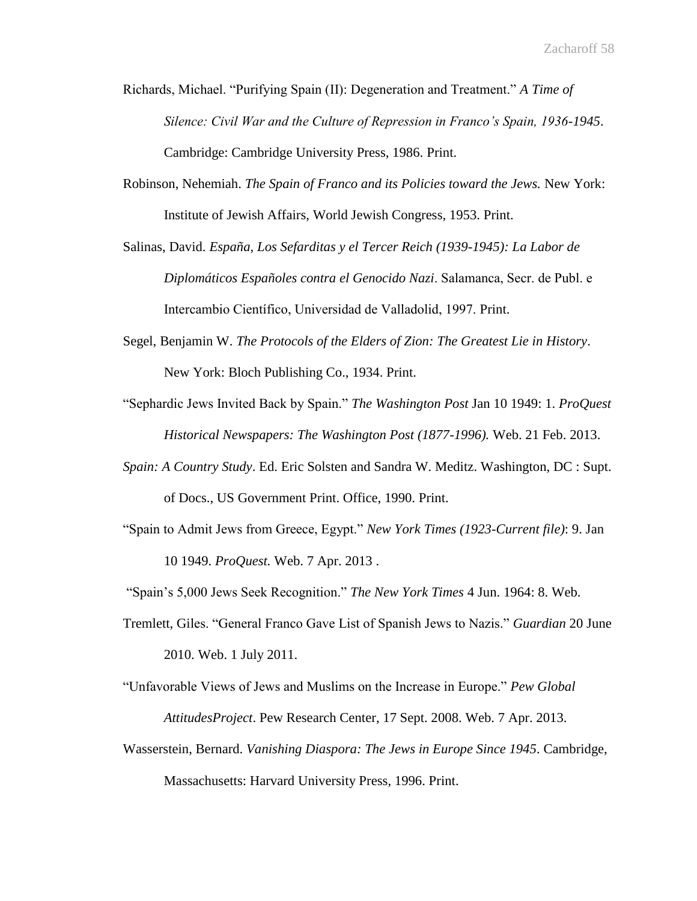- Richards, Michael. "Purifying Spain (II): Degeneration and Treatment." *A Time of Silence: Civil War and the Culture of Repression in Franco's Spain, 1936-1945*. Cambridge: Cambridge University Press, 1986. Print.
- Robinson, Nehemiah. *The Spain of Franco and its Policies toward the Jews.* New York: Institute of Jewish Affairs, World Jewish Congress, 1953. Print.
- Salinas, David. *España, Los Sefarditas y el Tercer Reich (1939-1945): La Labor de Diplomáticos Españoles contra el Genocido Nazi*. Salamanca, Secr. de Publ. e Intercambio Científico, Universidad de Valladolid, 1997. Print.
- Segel, Benjamin W. *The Protocols of the Elders of Zion: The Greatest Lie in History*. New York: Bloch Publishing Co., 1934. Print.
- "Sephardic Jews Invited Back by Spain." *The Washington Post* Jan 10 1949: 1. *ProQuest Historical Newspapers: The Washington Post (1877-1996).* Web. 21 Feb. 2013.
- *Spain: A Country Study*. Ed. Eric Solsten and Sandra W. Meditz. Washington, DC : Supt. of Docs., US Government Print. Office, 1990. Print.
- "Spain to Admit Jews from Greece, Egypt." *New York Times (1923-Current file)*: 9. Jan 10 1949. *ProQuest.* Web. 7 Apr. 2013 .

"Spain's 5,000 Jews Seek Recognition." *The New York Times* 4 Jun. 1964: 8. Web.

- Tremlett, Giles. "General Franco Gave List of Spanish Jews to Nazis." *Guardian* 20 June 2010. Web. 1 July 2011.
- "Unfavorable Views of Jews and Muslims on the Increase in Europe." *Pew Global AttitudesProject*. Pew Research Center, 17 Sept. 2008. Web. 7 Apr. 2013.
- Wasserstein, Bernard. *Vanishing Diaspora: The Jews in Europe Since 1945*. Cambridge, Massachusetts: Harvard University Press, 1996. Print.